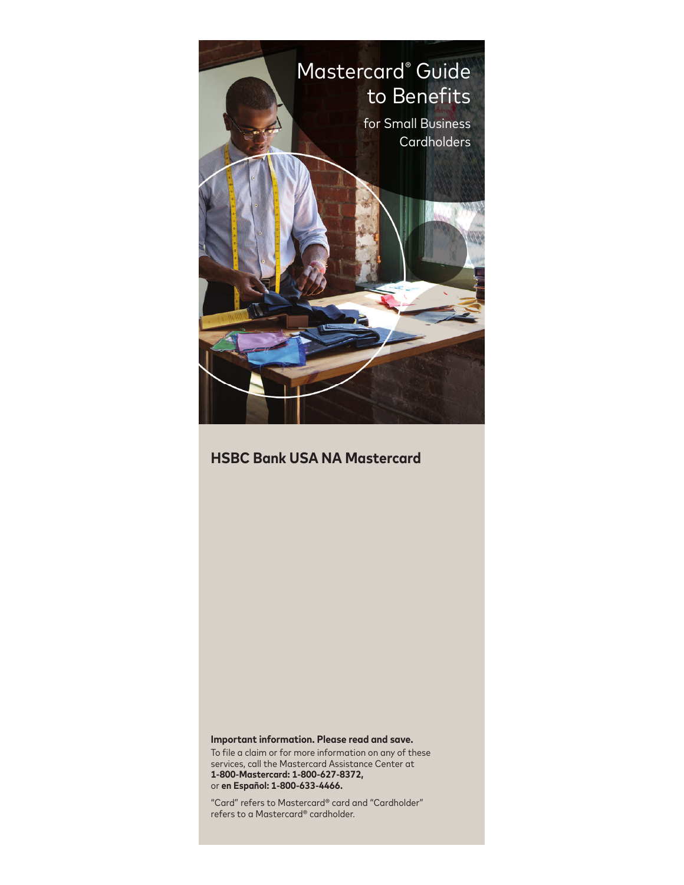

# **HSBC Bank USA NA Mastercard**

#### **Important information. Please read and save.**

To file a claim or for more information on any of these services, call the Mastercard Assistance Center at **1-800-Mastercard: 1-800-627-8372,**  or **en Español: 1-800-633-4466.**

"Card" refers to Mastercard® card and "Cardholder" refers to a Mastercard® cardholder.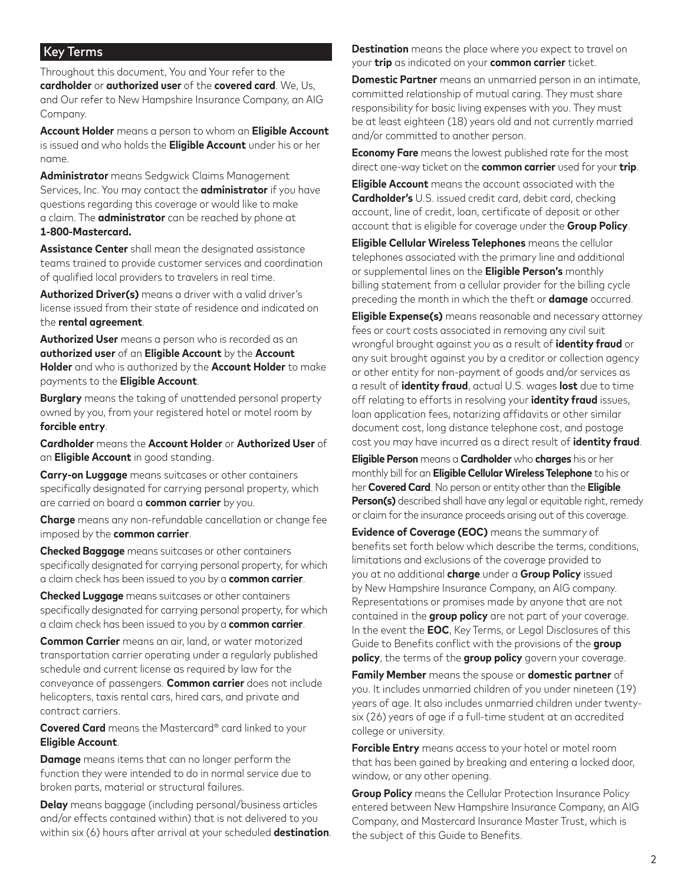#### Key Terms

Throughout this document, You and Your refer to the **cardholder** or **authorized user** of the **covered card**. We, Us, and Our refer to New Hampshire Insurance Company, an AIG Company.

**Account Holder** means a person to whom an **Eligible Account** is issued and who holds the **Eligible Account** under his or her name.

**Administrator** means Sedgwick Claims Management Services, Inc. You may contact the **administrator** if you have questions regarding this coverage or would like to make a claim. The **administrator** can be reached by phone at **1-800-Mastercard.**

**Assistance Center** shall mean the designated assistance teams trained to provide customer services and coordination of qualified local providers to travelers in real time.

**Authorized Driver(s)** means a driver with a valid driver's license issued from their state of residence and indicated on the **rental agreement**.

**Authorized User** means a person who is recorded as an **authorized user** of an **Eligible Account** by the **Account Holder** and who is authorized by the **Account Holder** to make payments to the **Eligible Account**.

**Burglary** means the taking of unattended personal property owned by you, from your registered hotel or motel room by **forcible entry**.

**Cardholder** means the **Account Holder** or **Authorized User** of an **Eligible Account** in good standing.

**Carry-on Luggage** means suitcases or other containers specifically designated for carrying personal property, which are carried on board a **common carrier** by you.

**Charge** means any non-refundable cancellation or change fee imposed by the **common carrier**.

**Checked Baggage** means suitcases or other containers specifically designated for carrying personal property, for which a claim check has been issued to you by a **common carrier**.

**Checked Luggage** means suitcases or other containers specifically designated for carrying personal property, for which a claim check has been issued to you by a **common carrier**.

**Common Carrier** means an air, land, or water motorized transportation carrier operating under a regularly published schedule and current license as required by law for the conveyance of passengers. **Common carrier** does not include helicopters, taxis rental cars, hired cars, and private and contract carriers.

**Covered Card** means the Mastercard® card linked to your **Eligible Account**.

**Damage** means items that can no longer perform the function they were intended to do in normal service due to broken parts, material or structural failures.

**Delay** means baggage (including personal/business articles and/or effects contained within) that is not delivered to you within six (6) hours after arrival at your scheduled **destination**. **Destination** means the place where you expect to travel on your **trip** as indicated on your **common carrier** ticket.

**Domestic Partner** means an unmarried person in an intimate, committed relationship of mutual caring. They must share responsibility for basic living expenses with you. They must be at least eighteen (18) years old and not currently married and/or committed to another person.

**Economy Fare** means the lowest published rate for the most direct one-way ticket on the **common carrier** used for your **trip**.

**Eligible Account** means the account associated with the **Cardholder's** U.S. issued credit card, debit card, checking account, line of credit, loan, certificate of deposit or other account that is eligible for coverage under the **Group Policy**.

**Eligible Cellular Wireless Telephones** means the cellular telephones associated with the primary line and additional or supplemental lines on the **Eligible Person's** monthly billing statement from a cellular provider for the billing cycle preceding the month in which the theft or **damage** occurred.

**Eligible Expense(s)** means reasonable and necessary attorney fees or court costs associated in removing any civil suit wrongful brought against you as a result of **identity fraud** or any suit brought against you by a creditor or collection agency or other entity for non-payment of goods and/or services as a result of **identity fraud**, actual U.S. wages **lost** due to time off relating to efforts in resolving your **identity fraud** issues, loan application fees, notarizing affidavits or other similar document cost, long distance telephone cost, and postage cost you may have incurred as a direct result of **identity fraud**.

**Eligible Person** means a **Cardholder** who **charges** his or her monthly bill for an **Eligible Cellular Wireless Telephone** to his or her **Covered Card**. No person or entity other than the **Eligible Person(s)** described shall have any legal or equitable right, remedy or claim for the insurance proceeds arising out of this coverage.

**Evidence of Coverage (EOC)** means the summary of benefits set forth below which describe the terms, conditions, limitations and exclusions of the coverage provided to you at no additional **charge** under a **Group Policy** issued by New Hampshire Insurance Company, an AIG company. Representations or promises made by anyone that are not contained in the **group policy** are not part of your coverage. In the event the **EOC**, Key Terms, or Legal Disclosures of this Guide to Benefits conflict with the provisions of the **group policy**, the terms of the **group policy** govern your coverage.

**Family Member** means the spouse or **domestic partner** of you. It includes unmarried children of you under nineteen (19) years of age. It also includes unmarried children under twentysix (26) years of age if a full-time student at an accredited college or university.

**Forcible Entry** means access to your hotel or motel room that has been gained by breaking and entering a locked door, window, or any other opening.

**Group Policy** means the Cellular Protection Insurance Policy entered between New Hampshire Insurance Company, an AIG Company, and Mastercard Insurance Master Trust, which is the subject of this Guide to Benefits.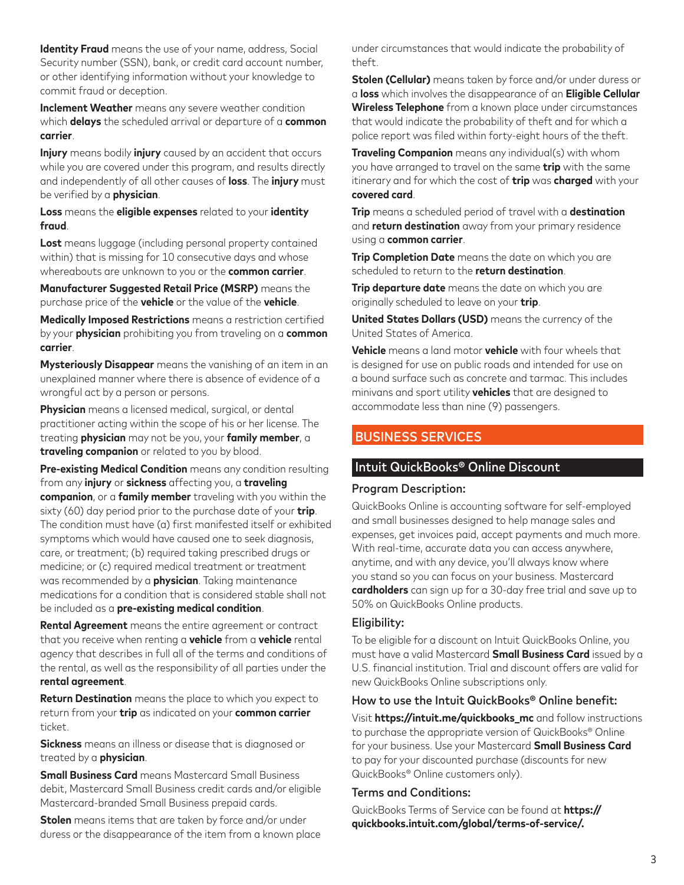**Identity Fraud** means the use of your name, address, Social Security number (SSN), bank, or credit card account number, or other identifying information without your knowledge to commit fraud or deception.

**Inclement Weather** means any severe weather condition which **delays** the scheduled arrival or departure of a **common carrier**.

**Injury** means bodily **injury** caused by an accident that occurs while you are covered under this program, and results directly and independently of all other causes of **loss**. The **injury** must be verified by a **physician**.

**Loss** means the **eligible expenses** related to your **identity fraud**.

**Lost** means luggage (including personal property contained within) that is missing for 10 consecutive days and whose whereabouts are unknown to you or the **common carrier**.

**Manufacturer Suggested Retail Price (MSRP)** means the purchase price of the **vehicle** or the value of the **vehicle**.

**Medically Imposed Restrictions** means a restriction certified by your **physician** prohibiting you from traveling on a **common carrier**.

**Mysteriously Disappear** means the vanishing of an item in an unexplained manner where there is absence of evidence of a wrongful act by a person or persons.

**Physician** means a licensed medical, surgical, or dental practitioner acting within the scope of his or her license. The treating **physician** may not be you, your **family member**, a **traveling companion** or related to you by blood.

**Pre-existing Medical Condition** means any condition resulting from any **injury** or **sickness** affecting you, a **traveling companion**, or a **family member** traveling with you within the sixty (60) day period prior to the purchase date of your **trip**. The condition must have (a) first manifested itself or exhibited symptoms which would have caused one to seek diagnosis, care, or treatment; (b) required taking prescribed drugs or medicine; or (c) required medical treatment or treatment was recommended by a **physician**. Taking maintenance medications for a condition that is considered stable shall not be included as a **pre-existing medical condition**.

**Rental Agreement** means the entire agreement or contract that you receive when renting a **vehicle** from a **vehicle** rental agency that describes in full all of the terms and conditions of the rental, as well as the responsibility of all parties under the **rental agreement**.

**Return Destination** means the place to which you expect to return from your **trip** as indicated on your **common carrier** ticket.

**Sickness** means an illness or disease that is diagnosed or treated by a **physician**.

**Small Business Card** means Mastercard Small Business debit, Mastercard Small Business credit cards and/or eligible Mastercard-branded Small Business prepaid cards.

**Stolen** means items that are taken by force and/or under duress or the disappearance of the item from a known place under circumstances that would indicate the probability of theft.

**Stolen (Cellular)** means taken by force and/or under duress or a **loss** which involves the disappearance of an **Eligible Cellular Wireless Telephone** from a known place under circumstances that would indicate the probability of theft and for which a police report was filed within forty-eight hours of the theft.

**Traveling Companion** means any individual(s) with whom you have arranged to travel on the same **trip** with the same itinerary and for which the cost of **trip** was **charged** with your **covered card**.

**Trip** means a scheduled period of travel with a **destination** and **return destination** away from your primary residence using a **common carrier**.

**Trip Completion Date** means the date on which you are scheduled to return to the **return destination**.

**Trip departure date** means the date on which you are originally scheduled to leave on your **trip**.

**United States Dollars (USD)** means the currency of the United States of America.

**Vehicle** means a land motor **vehicle** with four wheels that is designed for use on public roads and intended for use on a bound surface such as concrete and tarmac. This includes minivans and sport utility **vehicles** that are designed to accommodate less than nine (9) passengers.

## BUSINESS SERVICES

### Intuit QuickBooks® Online Discount

#### Program Description:

QuickBooks Online is accounting software for self-employed and small businesses designed to help manage sales and expenses, get invoices paid, accept payments and much more. With real-time, accurate data you can access anywhere, anytime, and with any device, you'll always know where you stand so you can focus on your business. Mastercard **cardholders** can sign up for a 30-day free trial and save up to 50% on QuickBooks Online products.

#### Eligibility:

To be eligible for a discount on Intuit QuickBooks Online, you must have a valid Mastercard **Small Business Card** issued by a U.S. financial institution. Trial and discount offers are valid for new QuickBooks Online subscriptions only.

### How to use the Intuit QuickBooks® Online benefit:

Visit **https://intuit.me/quickbooks\_mc** and follow instructions to purchase the appropriate version of QuickBooks® Online for your business. Use your Mastercard **Small Business Card** to pay for your discounted purchase (discounts for new QuickBooks® Online customers only).

#### Terms and Conditions:

QuickBooks Terms of Service can be found at **https:// quickbooks.intuit.com/global/terms-of-service/.**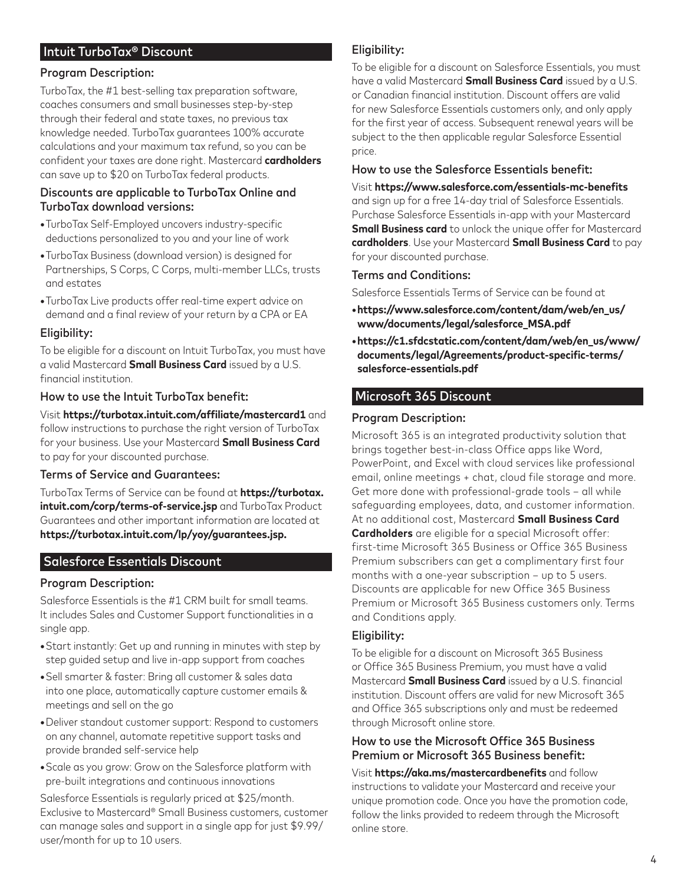## Intuit TurboTax® Discount

#### Program Description:

TurboTax, the #1 best-selling tax preparation software, coaches consumers and small businesses step-by-step through their federal and state taxes, no previous tax knowledge needed. TurboTax guarantees 100% accurate calculations and your maximum tax refund, so you can be confident your taxes are done right. Mastercard **cardholders** can save up to \$20 on TurboTax federal products.

#### Discounts are applicable to TurboTax Online and TurboTax download versions:

- **•**TurboTax Self-Employed uncovers industry-specific deductions personalized to you and your line of work
- **•**TurboTax Business (download version) is designed for Partnerships, S Corps, C Corps, multi-member LLCs, trusts and estates
- **•**TurboTax Live products offer real-time expert advice on demand and a final review of your return by a CPA or EA

#### Eligibility:

To be eligible for a discount on Intuit TurboTax, you must have a valid Mastercard **Small Business Card** issued by a U.S. financial institution.

#### How to use the Intuit TurboTax benefit:

Visit **https://turbotax.intuit.com/affiliate/mastercard1** and follow instructions to purchase the right version of TurboTax for your business. Use your Mastercard **Small Business Card** to pay for your discounted purchase.

#### Terms of Service and Guarantees:

TurboTax Terms of Service can be found at **https://turbotax. intuit.com/corp/terms-of-service.jsp** and TurboTax Product Guarantees and other important information are located at **https://turbotax.intuit.com/lp/yoy/guarantees.jsp.**

### Salesforce Essentials Discount

### Program Description:

Salesforce Essentials is the #1 CRM built for small teams. It includes Sales and Customer Support functionalities in a single app.

- **•**Start instantly: Get up and running in minutes with step by step guided setup and live in-app support from coaches
- **•**Sell smarter & faster: Bring all customer & sales data into one place, automatically capture customer emails & meetings and sell on the go
- **•**Deliver standout customer support: Respond to customers on any channel, automate repetitive support tasks and provide branded self-service help
- **•**Scale as you grow: Grow on the Salesforce platform with pre-built integrations and continuous innovations

Salesforce Essentials is regularly priced at \$25/month. Exclusive to Mastercard® Small Business customers, customer can manage sales and support in a single app for just \$9.99/ user/month for up to 10 users.

## Eligibility:

To be eligible for a discount on Salesforce Essentials, you must have a valid Mastercard **Small Business Card** issued by a U.S. or Canadian financial institution. Discount offers are valid for new Salesforce Essentials customers only, and only apply for the first year of access. Subsequent renewal years will be subject to the then applicable regular Salesforce Essential price.

#### How to use the Salesforce Essentials benefit:

Visit **https://www.salesforce.com/essentials-mc-benefits** and sign up for a free 14-day trial of Salesforce Essentials. Purchase Salesforce Essentials in-app with your Mastercard **Small Business card** to unlock the unique offer for Mastercard **cardholders**. Use your Mastercard **Small Business Card** to pay for your discounted purchase.

#### Terms and Conditions:

Salesforce Essentials Terms of Service can be found at

- **•https://www.salesforce.com/content/dam/web/en\_us/ www/documents/legal/salesforce\_MSA.pdf**
- **•https://c1.sfdcstatic.com/content/dam/web/en\_us/www/ documents/legal/Agreements/product-specific-terms/ salesforce-essentials.pdf**

#### Microsoft 365 Discount

#### Program Description:

Microsoft 365 is an integrated productivity solution that brings together best-in-class Office apps like Word, PowerPoint, and Excel with cloud services like professional email, online meetings + chat, cloud file storage and more. Get more done with professional-grade tools – all while safeguarding employees, data, and customer information. At no additional cost, Mastercard **Small Business Card Cardholders** are eligible for a special Microsoft offer: first-time Microsoft 365 Business or Office 365 Business Premium subscribers can get a complimentary first four months with a one-year subscription – up to 5 users. Discounts are applicable for new Office 365 Business Premium or Microsoft 365 Business customers only. Terms and Conditions apply.

#### Eligibility:

To be eligible for a discount on Microsoft 365 Business or Office 365 Business Premium, you must have a valid Mastercard **Small Business Card** issued by a U.S. financial institution. Discount offers are valid for new Microsoft 365 and Office 365 subscriptions only and must be redeemed through Microsoft online store.

#### How to use the Microsoft Office 365 Business Premium or Microsoft 365 Business benefit:

Visit **https://aka.ms/mastercardbenefits** and follow instructions to validate your Mastercard and receive your unique promotion code. Once you have the promotion code, follow the links provided to redeem through the Microsoft online store.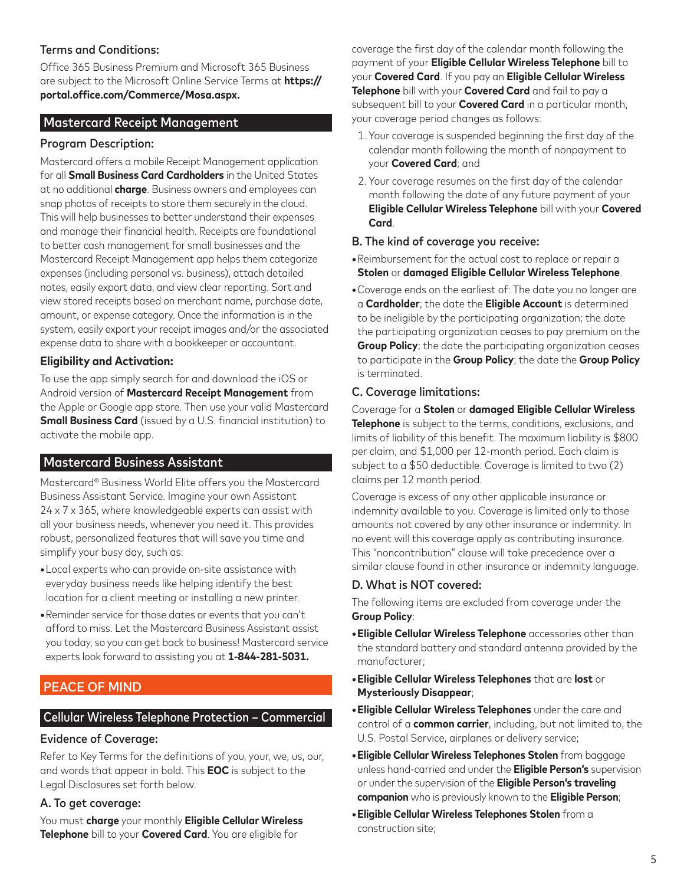## Terms and Conditions:

Office 365 Business Premium and Microsoft 365 Business are subject to the Microsoft Online Service Terms at **https:// portal.office.com/Commerce/Mosa.aspx.**

### Mastercard Receipt Management

#### Program Description:

Mastercard offers a mobile Receipt Management application for all **Small Business Card Cardholders** in the United States at no additional **charge**. Business owners and employees can snap photos of receipts to store them securely in the cloud. This will help businesses to better understand their expenses and manage their financial health. Receipts are foundational to better cash management for small businesses and the Mastercard Receipt Management app helps them categorize expenses (including personal vs. business), attach detailed notes, easily export data, and view clear reporting. Sort and view stored receipts based on merchant name, purchase date, amount, or expense category. Once the information is in the system, easily export your receipt images and/or the associated expense data to share with a bookkeeper or accountant.

#### **Eligibility and Activation:**

To use the app simply search for and download the iOS or Android version of **Mastercard Receipt Management** from the Apple or Google app store. Then use your valid Mastercard **Small Business Card** (issued by a U.S. financial institution) to activate the mobile app.

## Mastercard Business Assistant

Mastercard® Business World Elite offers you the Mastercard Business Assistant Service. Imagine your own Assistant 24 x 7 x 365, where knowledgeable experts can assist with all your business needs, whenever you need it. This provides robust, personalized features that will save you time and simplify your busy day, such as:

- **•**Local experts who can provide on-site assistance with everyday business needs like helping identify the best location for a client meeting or installing a new printer.
- **•**Reminder service for those dates or events that you can't afford to miss. Let the Mastercard Business Assistant assist you today, so you can get back to business! Mastercard service experts look forward to assisting you at **1-844-281-5031.**

## PEACE OF MIND

### Cellular Wireless Telephone Protection – Commercial

#### Evidence of Coverage:

Refer to Key Terms for the definitions of you, your, we, us, our, and words that appear in bold. This **EOC** is subject to the Legal Disclosures set forth below.

### A. To get coverage:

You must **charge** your monthly **Eligible Cellular Wireless Telephone** bill to your **Covered Card**. You are eligible for

coverage the first day of the calendar month following the payment of your **Eligible Cellular Wireless Telephone** bill to your **Covered Card**. If you pay an **Eligible Cellular Wireless Telephone** bill with your **Covered Card** and fail to pay a subsequent bill to your **Covered Card** in a particular month, your coverage period changes as follows:

- 1. Your coverage is suspended beginning the first day of the calendar month following the month of nonpayment to your **Covered Card**; and
- 2. Your coverage resumes on the first day of the calendar month following the date of any future payment of your **Eligible Cellular Wireless Telephone** bill with your **Covered Card**.

#### B. The kind of coverage you receive:

- **•**Reimbursement for the actual cost to replace or repair a **Stolen** or **damaged Eligible Cellular Wireless Telephone**.
- **•**Coverage ends on the earliest of: The date you no longer are a **Cardholder**; the date the **Eligible Account** is determined to be ineligible by the participating organization; the date the participating organization ceases to pay premium on the **Group Policy**; the date the participating organization ceases to participate in the **Group Policy**; the date the **Group Policy** is terminated.

#### C. Coverage limitations:

Coverage for a **Stolen** or **damaged Eligible Cellular Wireless Telephone** is subject to the terms, conditions, exclusions, and limits of liability of this benefit. The maximum liability is \$800 per claim, and \$1,000 per 12-month period. Each claim is subject to a \$50 deductible. Coverage is limited to two (2) claims per 12 month period.

Coverage is excess of any other applicable insurance or indemnity available to you. Coverage is limited only to those amounts not covered by any other insurance or indemnity. In no event will this coverage apply as contributing insurance. This "noncontribution" clause will take precedence over a similar clause found in other insurance or indemnity language.

#### D. What is NOT covered:

The following items are excluded from coverage under the **Group Policy**:

- **•Eligible Cellular Wireless Telephone** accessories other than the standard battery and standard antenna provided by the manufacturer;
- **•Eligible Cellular Wireless Telephones** that are **lost** or **Mysteriously Disappear**;
- **•Eligible Cellular Wireless Telephones** under the care and control of a **common carrier**, including, but not limited to, the U.S. Postal Service, airplanes or delivery service;
- **•Eligible Cellular Wireless Telephones Stolen** from baggage unless hand-carried and under the **Eligible Person's** supervision or under the supervision of the **Eligible Person's traveling companion** who is previously known to the **Eligible Person**;
- **•Eligible Cellular Wireless Telephones Stolen** from a construction site;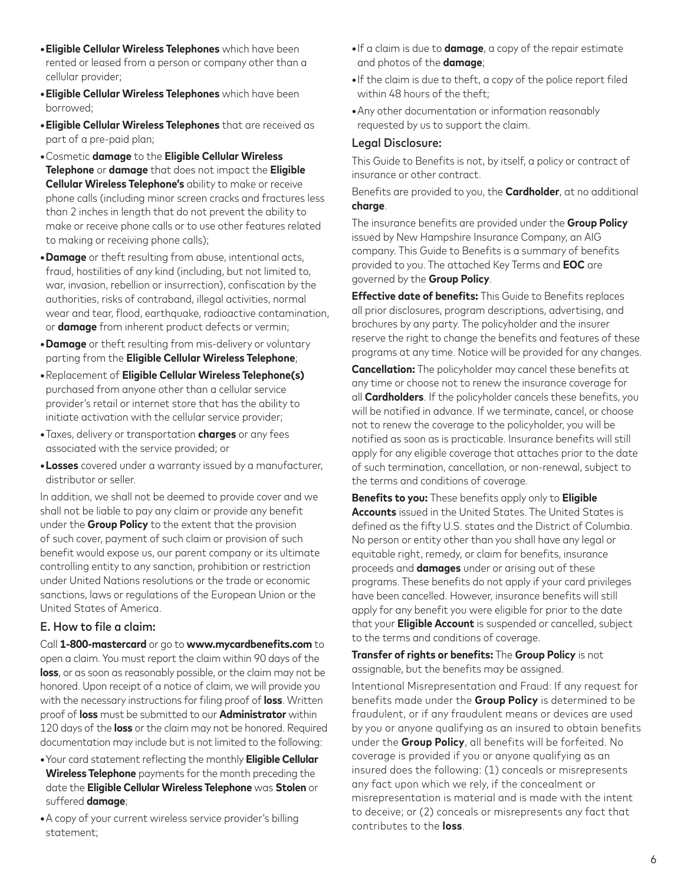- **•Eligible Cellular Wireless Telephones** which have been rented or leased from a person or company other than a cellular provider;
- **•Eligible Cellular Wireless Telephones** which have been borrowed;
- **•Eligible Cellular Wireless Telephones** that are received as part of a pre-paid plan;
- **•**Cosmetic **damage** to the **Eligible Cellular Wireless Telephone** or **damage** that does not impact the **Eligible Cellular Wireless Telephone's** ability to make or receive phone calls (including minor screen cracks and fractures less than 2 inches in length that do not prevent the ability to make or receive phone calls or to use other features related to making or receiving phone calls);
- **•Damage** or theft resulting from abuse, intentional acts, fraud, hostilities of any kind (including, but not limited to, war, invasion, rebellion or insurrection), confiscation by the authorities, risks of contraband, illegal activities, normal wear and tear, flood, earthquake, radioactive contamination, or **damage** from inherent product defects or vermin;
- **•Damage** or theft resulting from mis-delivery or voluntary parting from the **Eligible Cellular Wireless Telephone**;
- **•**Replacement of **Eligible Cellular Wireless Telephone(s)** purchased from anyone other than a cellular service provider's retail or internet store that has the ability to initiate activation with the cellular service provider;
- **•**Taxes, delivery or transportation **charges** or any fees associated with the service provided; or
- **•Losses** covered under a warranty issued by a manufacturer, distributor or seller.

In addition, we shall not be deemed to provide cover and we shall not be liable to pay any claim or provide any benefit under the **Group Policy** to the extent that the provision of such cover, payment of such claim or provision of such benefit would expose us, our parent company or its ultimate controlling entity to any sanction, prohibition or restriction under United Nations resolutions or the trade or economic sanctions, laws or regulations of the European Union or the United States of America.

#### E. How to file a claim:

Call **1-800-mastercard** or go to **www.mycardbenefits.com** to open a claim. You must report the claim within 90 days of the **loss**, or as soon as reasonably possible, or the claim may not be honored. Upon receipt of a notice of claim, we will provide you with the necessary instructions for filing proof of **loss**. Written proof of **loss** must be submitted to our **Administrator** within 120 days of the **loss** or the claim may not be honored. Required documentation may include but is not limited to the following:

- **•**Your card statement reflecting the monthly **Eligible Cellular Wireless Telephone** payments for the month preceding the date the **Eligible Cellular Wireless Telephone** was **Stolen** or suffered **damage**;
- **•**A copy of your current wireless service provider's billing statement;
- **•**If a claim is due to **damage**, a copy of the repair estimate and photos of the **damage**;
- **•**If the claim is due to theft, a copy of the police report filed within 48 hours of the theft;
- **•**Any other documentation or information reasonably requested by us to support the claim.

#### Legal Disclosure:

This Guide to Benefits is not, by itself, a policy or contract of insurance or other contract.

Benefits are provided to you, the **Cardholder**, at no additional **charge**.

The insurance benefits are provided under the **Group Policy** issued by New Hampshire Insurance Company, an AIG company. This Guide to Benefits is a summary of benefits provided to you. The attached Key Terms and **EOC** are governed by the **Group Policy**.

**Effective date of benefits:** This Guide to Benefits replaces all prior disclosures, program descriptions, advertising, and brochures by any party. The policyholder and the insurer reserve the right to change the benefits and features of these programs at any time. Notice will be provided for any changes.

**Cancellation:** The policyholder may cancel these benefits at any time or choose not to renew the insurance coverage for all **Cardholders**. If the policyholder cancels these benefits, you will be notified in advance. If we terminate, cancel, or choose not to renew the coverage to the policyholder, you will be notified as soon as is practicable. Insurance benefits will still apply for any eligible coverage that attaches prior to the date of such termination, cancellation, or non-renewal, subject to the terms and conditions of coverage.

**Benefits to you:** These benefits apply only to **Eligible Accounts** issued in the United States. The United States is defined as the fifty U.S. states and the District of Columbia. No person or entity other than you shall have any legal or equitable right, remedy, or claim for benefits, insurance proceeds and **damages** under or arising out of these programs. These benefits do not apply if your card privileges have been cancelled. However, insurance benefits will still apply for any benefit you were eligible for prior to the date that your **Eligible Account** is suspended or cancelled, subject to the terms and conditions of coverage.

**Transfer of rights or benefits:** The **Group Policy** is not assignable, but the benefits may be assigned.

Intentional Misrepresentation and Fraud: If any request for benefits made under the **Group Policy** is determined to be fraudulent, or if any fraudulent means or devices are used by you or anyone qualifying as an insured to obtain benefits under the **Group Policy**, all benefits will be forfeited. No coverage is provided if you or anyone qualifying as an insured does the following: (1) conceals or misrepresents any fact upon which we rely, if the concealment or misrepresentation is material and is made with the intent to deceive; or (2) conceals or misrepresents any fact that contributes to the **loss**.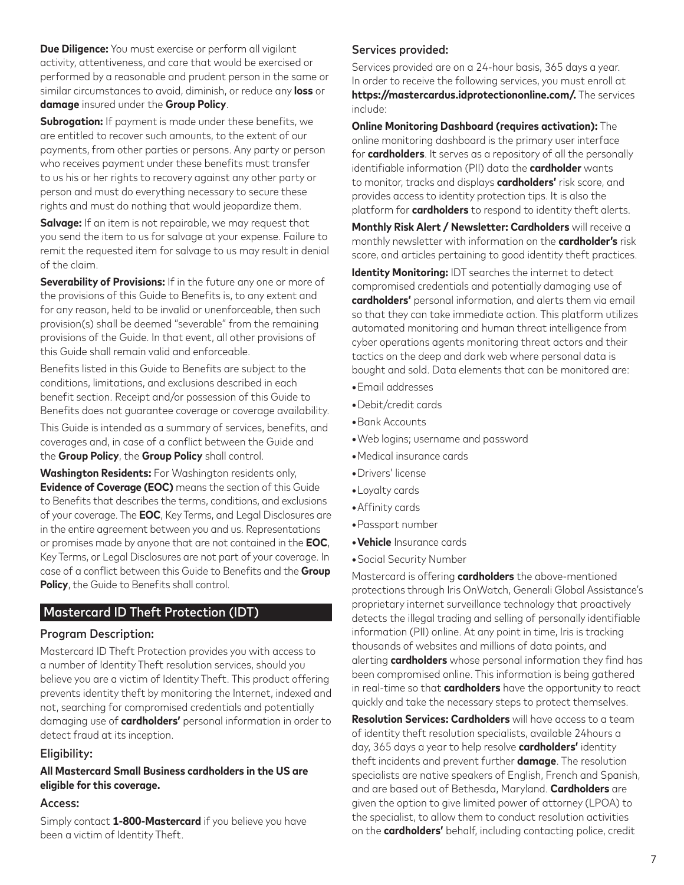**Due Diligence:** You must exercise or perform all vigilant activity, attentiveness, and care that would be exercised or performed by a reasonable and prudent person in the same or similar circumstances to avoid, diminish, or reduce any **loss** or **damage** insured under the **Group Policy**.

**Subrogation:** If payment is made under these benefits, we are entitled to recover such amounts, to the extent of our payments, from other parties or persons. Any party or person who receives payment under these benefits must transfer to us his or her rights to recovery against any other party or person and must do everything necessary to secure these rights and must do nothing that would jeopardize them.

**Salvage:** If an item is not repairable, we may request that you send the item to us for salvage at your expense. Failure to remit the requested item for salvage to us may result in denial of the claim.

**Severability of Provisions:** If in the future any one or more of the provisions of this Guide to Benefits is, to any extent and for any reason, held to be invalid or unenforceable, then such provision(s) shall be deemed "severable" from the remaining provisions of the Guide. In that event, all other provisions of this Guide shall remain valid and enforceable.

Benefits listed in this Guide to Benefits are subject to the conditions, limitations, and exclusions described in each benefit section. Receipt and/or possession of this Guide to Benefits does not guarantee coverage or coverage availability.

This Guide is intended as a summary of services, benefits, and coverages and, in case of a conflict between the Guide and the **Group Policy**, the **Group Policy** shall control.

**Washington Residents:** For Washington residents only, **Evidence of Coverage (EOC)** means the section of this Guide to Benefits that describes the terms, conditions, and exclusions of your coverage. The **EOC**, Key Terms, and Legal Disclosures are in the entire agreement between you and us. Representations or promises made by anyone that are not contained in the **EOC**, Key Terms, or Legal Disclosures are not part of your coverage. In case of a conflict between this Guide to Benefits and the **Group Policy**, the Guide to Benefits shall control.

## Mastercard ID Theft Protection (IDT)

### Program Description:

Mastercard ID Theft Protection provides you with access to a number of Identity Theft resolution services, should you believe you are a victim of Identity Theft. This product offering prevents identity theft by monitoring the Internet, indexed and not, searching for compromised credentials and potentially damaging use of **cardholders'** personal information in order to detect fraud at its inception.

### Eligibility:

#### **All Mastercard Small Business cardholders in the US are eligible for this coverage.**

#### Access:

Simply contact **1-800-Mastercard** if you believe you have been a victim of Identity Theft.

## Services provided:

Services provided are on a 24-hour basis, 365 days a year. In order to receive the following services, you must enroll at **https://mastercardus.idprotectiononline.com/.** The services include:

**Online Monitoring Dashboard (requires activation):** The online monitoring dashboard is the primary user interface for **cardholders**. It serves as a repository of all the personally identifiable information (PII) data the **cardholder** wants to monitor, tracks and displays **cardholders'** risk score, and provides access to identity protection tips. It is also the platform for **cardholders** to respond to identity theft alerts.

**Monthly Risk Alert / Newsletter: Cardholders** will receive a monthly newsletter with information on the **cardholder's** risk score, and articles pertaining to good identity theft practices.

**Identity Monitoring:** IDT searches the internet to detect compromised credentials and potentially damaging use of **cardholders'** personal information, and alerts them via email so that they can take immediate action. This platform utilizes automated monitoring and human threat intelligence from cyber operations agents monitoring threat actors and their tactics on the deep and dark web where personal data is bought and sold. Data elements that can be monitored are:

- **•**Email addresses
- **•**Debit/credit cards
- **•**Bank Accounts
- **•**Web logins; username and password
- **•**Medical insurance cards
- **•**Drivers' license
- **•**Loyalty cards
- **•**Affinity cards
- **•**Passport number
- **•Vehicle** Insurance cards
- **•**Social Security Number

Mastercard is offering **cardholders** the above-mentioned protections through Iris OnWatch, Generali Global Assistance's proprietary internet surveillance technology that proactively detects the illegal trading and selling of personally identifiable information (PII) online. At any point in time, Iris is tracking thousands of websites and millions of data points, and alerting **cardholders** whose personal information they find has been compromised online. This information is being gathered in real-time so that **cardholders** have the opportunity to react quickly and take the necessary steps to protect themselves.

**Resolution Services: Cardholders** will have access to a team of identity theft resolution specialists, available 24hours a day, 365 days a year to help resolve **cardholders'** identity theft incidents and prevent further **damage**. The resolution specialists are native speakers of English, French and Spanish, and are based out of Bethesda, Maryland. **Cardholders** are given the option to give limited power of attorney (LPOA) to the specialist, to allow them to conduct resolution activities on the **cardholders'** behalf, including contacting police, credit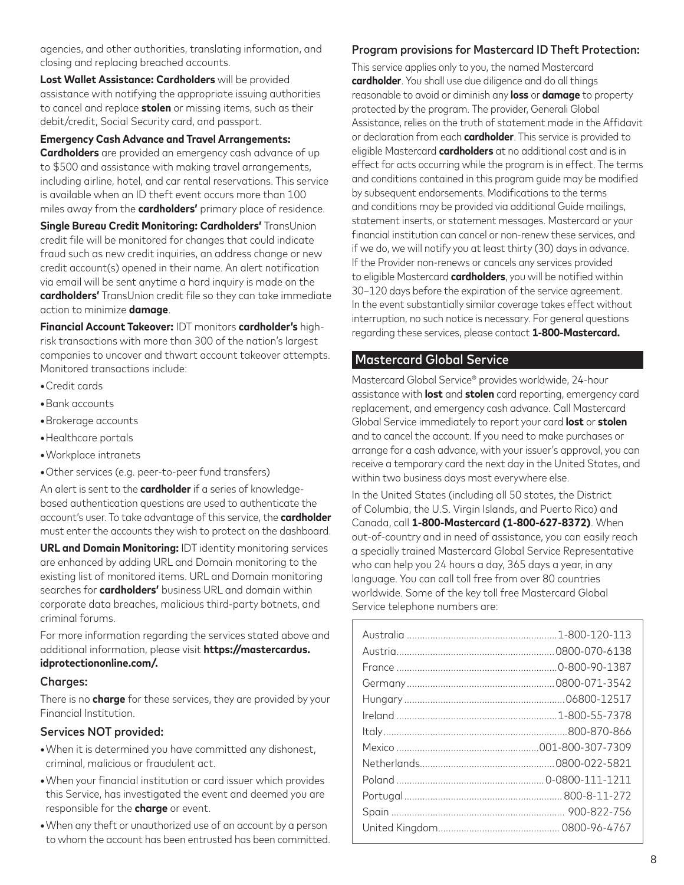agencies, and other authorities, translating information, and closing and replacing breached accounts.

**Lost Wallet Assistance: Cardholders** will be provided assistance with notifying the appropriate issuing authorities to cancel and replace **stolen** or missing items, such as their debit/credit, Social Security card, and passport.

**Emergency Cash Advance and Travel Arrangements:**

**Cardholders** are provided an emergency cash advance of up to \$500 and assistance with making travel arrangements, including airline, hotel, and car rental reservations. This service is available when an ID theft event occurs more than 100 miles away from the **cardholders'** primary place of residence.

**Single Bureau Credit Monitoring: Cardholders'** TransUnion credit file will be monitored for changes that could indicate fraud such as new credit inquiries, an address change or new credit account(s) opened in their name. An alert notification via email will be sent anytime a hard inquiry is made on the **cardholders'** TransUnion credit file so they can take immediate action to minimize **damage**.

**Financial Account Takeover:** IDT monitors **cardholder's** highrisk transactions with more than 300 of the nation's largest companies to uncover and thwart account takeover attempts. Monitored transactions include:

- **•**Credit cards
- **•**Bank accounts
- **•**Brokerage accounts
- **•**Healthcare portals
- **•**Workplace intranets
- **•**Other services (e.g. peer-to-peer fund transfers)

An alert is sent to the **cardholder** if a series of knowledgebased authentication questions are used to authenticate the account's user. To take advantage of this service, the **cardholder** must enter the accounts they wish to protect on the dashboard.

**URL and Domain Monitoring:** IDT identity monitoring services are enhanced by adding URL and Domain monitoring to the existing list of monitored items. URL and Domain monitoring searches for **cardholders'** business URL and domain within corporate data breaches, malicious third-party botnets, and criminal forums.

For more information regarding the services stated above and additional information, please visit **https://mastercardus. idprotectiononline.com/.**

#### Charges:

There is no **charge** for these services, they are provided by your Financial Institution.

#### Services NOT provided:

- **•**When it is determined you have committed any dishonest, criminal, malicious or fraudulent act.
- **•**When your financial institution or card issuer which provides this Service, has investigated the event and deemed you are responsible for the **charge** or event.
- **•**When any theft or unauthorized use of an account by a person to whom the account has been entrusted has been committed.

#### Program provisions for Mastercard ID Theft Protection:

This service applies only to you, the named Mastercard **cardholder**. You shall use due diligence and do all things reasonable to avoid or diminish any **loss** or **damage** to property protected by the program. The provider, Generali Global Assistance, relies on the truth of statement made in the Affidavit or declaration from each **cardholder**. This service is provided to eligible Mastercard **cardholders** at no additional cost and is in effect for acts occurring while the program is in effect. The terms and conditions contained in this program guide may be modified by subsequent endorsements. Modifications to the terms and conditions may be provided via additional Guide mailings, statement inserts, or statement messages. Mastercard or your financial institution can cancel or non-renew these services, and if we do, we will notify you at least thirty (30) days in advance. If the Provider non-renews or cancels any services provided to eligible Mastercard **cardholders**, you will be notified within 30–120 days before the expiration of the service agreement. In the event substantially similar coverage takes effect without interruption, no such notice is necessary. For general questions regarding these services, please contact **1-800-Mastercard.**

## Mastercard Global Service

Mastercard Global Service® provides worldwide, 24-hour assistance with **lost** and **stolen** card reporting, emergency card replacement, and emergency cash advance. Call Mastercard Global Service immediately to report your card **lost** or **stolen** and to cancel the account. If you need to make purchases or arrange for a cash advance, with your issuer's approval, you can receive a temporary card the next day in the United States, and within two business days most everywhere else.

In the United States (including all 50 states, the District of Columbia, the U.S. Virgin Islands, and Puerto Rico) and Canada, call **1-800-Mastercard (1-800-627-8372)**. When out-of-country and in need of assistance, you can easily reach a specially trained Mastercard Global Service Representative who can help you 24 hours a day, 365 days a year, in any language. You can call toll free from over 80 countries worldwide. Some of the key toll free Mastercard Global Service telephone numbers are:

| Australia 1-800-120-113 |  |
|-------------------------|--|
|                         |  |
|                         |  |
|                         |  |
|                         |  |
|                         |  |
|                         |  |
|                         |  |
|                         |  |
|                         |  |
|                         |  |
|                         |  |
|                         |  |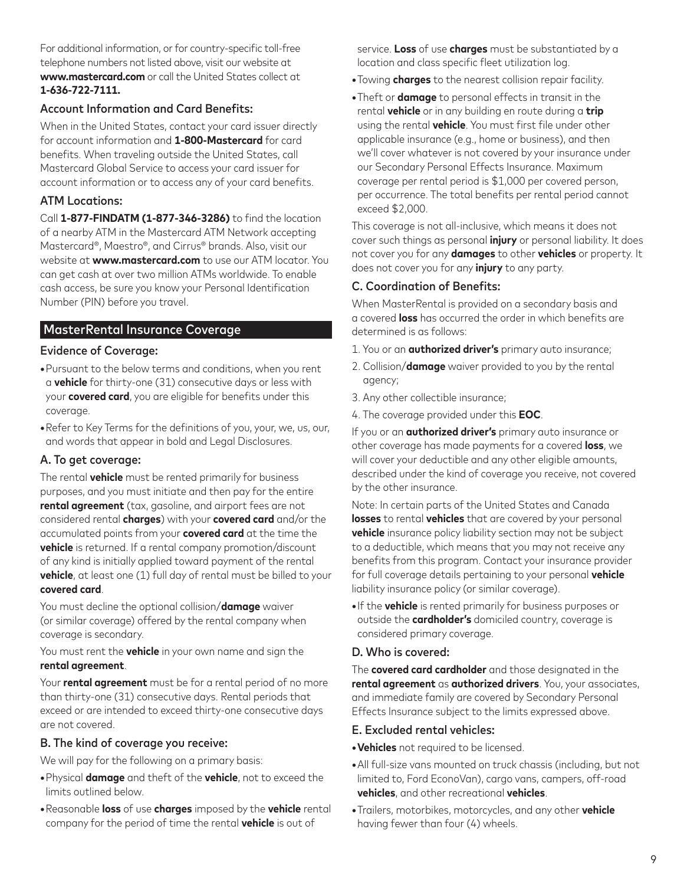For additional information, or for country-specific toll-free telephone numbers not listed above, visit our website at **www.mastercard.com** or call the United States collect at **1-636-722-7111.**

#### Account Information and Card Benefits:

When in the United States, contact your card issuer directly for account information and **1-800-Mastercard** for card benefits. When traveling outside the United States, call Mastercard Global Service to access your card issuer for account information or to access any of your card benefits.

#### ATM Locations:

Call **1-877-FINDATM (1-877-346-3286)** to find the location of a nearby ATM in the Mastercard ATM Network accepting Mastercard®, Maestro®, and Cirrus® brands. Also, visit our website at **www.mastercard.com** to use our ATM locator. You can get cash at over two million ATMs worldwide. To enable cash access, be sure you know your Personal Identification Number (PIN) before you travel.

## MasterRental Insurance Coverage

#### Evidence of Coverage:

- **•**Pursuant to the below terms and conditions, when you rent a **vehicle** for thirty-one (31) consecutive days or less with your **covered card**, you are eligible for benefits under this coverage.
- **•**Refer to Key Terms for the definitions of you, your, we, us, our, and words that appear in bold and Legal Disclosures.

### A. To get coverage:

The rental **vehicle** must be rented primarily for business purposes, and you must initiate and then pay for the entire **rental agreement** (tax, gasoline, and airport fees are not considered rental **charges**) with your **covered card** and/or the accumulated points from your **covered card** at the time the **vehicle** is returned. If a rental company promotion/discount of any kind is initially applied toward payment of the rental **vehicle**, at least one (1) full day of rental must be billed to your **covered card**.

You must decline the optional collision/**damage** waiver (or similar coverage) offered by the rental company when coverage is secondary.

You must rent the **vehicle** in your own name and sign the **rental agreement**.

Your **rental agreement** must be for a rental period of no more than thirty-one (31) consecutive days. Rental periods that exceed or are intended to exceed thirty-one consecutive days are not covered.

#### B. The kind of coverage you receive:

We will pay for the following on a primary basis:

- **•**Physical **damage** and theft of the **vehicle**, not to exceed the limits outlined below.
- **•**Reasonable **loss** of use **charges** imposed by the **vehicle** rental company for the period of time the rental **vehicle** is out of

service. **Loss** of use **charges** must be substantiated by a location and class specific fleet utilization log.

- **•**Towing **charges** to the nearest collision repair facility.
- **•**Theft or **damage** to personal effects in transit in the rental **vehicle** or in any building en route during a **trip** using the rental **vehicle**. You must first file under other applicable insurance (e.g., home or business), and then we'll cover whatever is not covered by your insurance under our Secondary Personal Effects Insurance. Maximum coverage per rental period is \$1,000 per covered person, per occurrence. The total benefits per rental period cannot exceed \$2,000.

This coverage is not all-inclusive, which means it does not cover such things as personal **injury** or personal liability. It does not cover you for any **damages** to other **vehicles** or property. It does not cover you for any **injury** to any party.

### C. Coordination of Benefits:

When MasterRental is provided on a secondary basis and a covered **loss** has occurred the order in which benefits are determined is as follows:

- 1. You or an **authorized driver's** primary auto insurance;
- 2. Collision/**damage** waiver provided to you by the rental agency;
- 3. Any other collectible insurance;
- 4. The coverage provided under this **EOC**.

If you or an **authorized driver's** primary auto insurance or other coverage has made payments for a covered **loss**, we will cover your deductible and any other eligible amounts, described under the kind of coverage you receive, not covered by the other insurance.

Note: In certain parts of the United States and Canada **losses** to rental **vehicles** that are covered by your personal **vehicle** insurance policy liability section may not be subject to a deductible, which means that you may not receive any benefits from this program. Contact your insurance provider for full coverage details pertaining to your personal **vehicle** liability insurance policy (or similar coverage).

**•**If the **vehicle** is rented primarily for business purposes or outside the **cardholder's** domiciled country, coverage is considered primary coverage.

#### D. Who is covered:

The **covered card cardholder** and those designated in the **rental agreement** as **authorized drivers**. You, your associates, and immediate family are covered by Secondary Personal Effects Insurance subject to the limits expressed above.

#### E. Excluded rental vehicles:

- **•Vehicles** not required to be licensed.
- **•**All full-size vans mounted on truck chassis (including, but not limited to, Ford EconoVan), cargo vans, campers, off-road **vehicles**, and other recreational **vehicles**.
- **•**Trailers, motorbikes, motorcycles, and any other **vehicle** having fewer than four (4) wheels.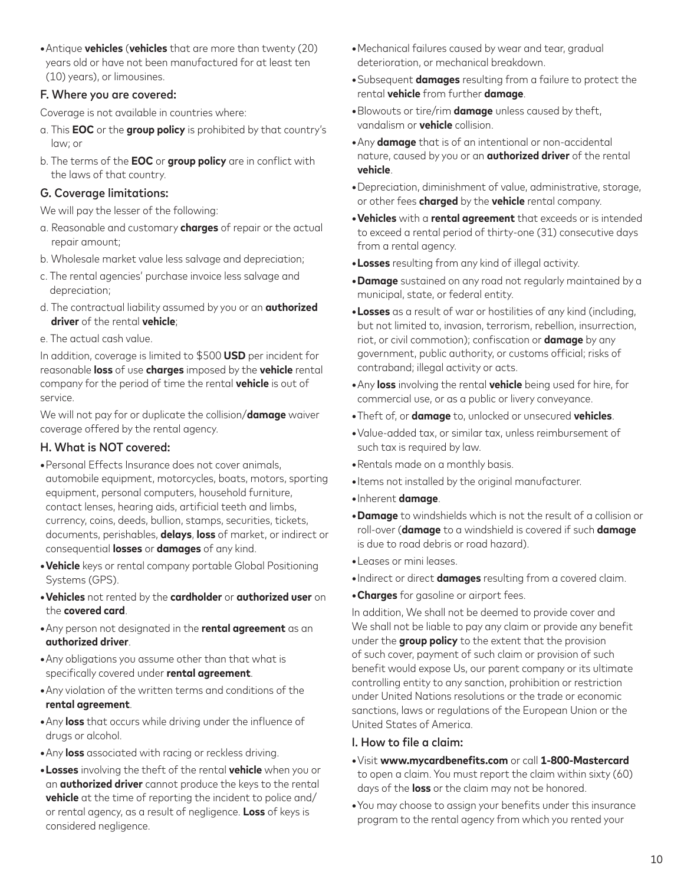**•**Antique **vehicles** (**vehicles** that are more than twenty (20) years old or have not been manufactured for at least ten (10) years), or limousines.

### F. Where you are covered:

Coverage is not available in countries where:

- a. This **EOC** or the **group policy** is prohibited by that country's law; or
- b. The terms of the **EOC** or **group policy** are in conflict with the laws of that country.

### G. Coverage limitations:

We will pay the lesser of the following:

- a. Reasonable and customary **charges** of repair or the actual repair amount;
- b. Wholesale market value less salvage and depreciation;
- c. The rental agencies' purchase invoice less salvage and depreciation;
- d. The contractual liability assumed by you or an **authorized driver** of the rental **vehicle**;
- e. The actual cash value.

In addition, coverage is limited to \$500 **USD** per incident for reasonable **loss** of use **charges** imposed by the **vehicle** rental company for the period of time the rental **vehicle** is out of service.

We will not pay for or duplicate the collision/**damage** waiver coverage offered by the rental agency.

### H. What is NOT covered:

- **•**Personal Effects Insurance does not cover animals, automobile equipment, motorcycles, boats, motors, sporting equipment, personal computers, household furniture, contact lenses, hearing aids, artificial teeth and limbs, currency, coins, deeds, bullion, stamps, securities, tickets, documents, perishables, **delays**, **loss** of market, or indirect or consequential **losses** or **damages** of any kind.
- **•Vehicle** keys or rental company portable Global Positioning Systems (GPS).
- **•Vehicles** not rented by the **cardholder** or **authorized user** on the **covered card**.
- **•**Any person not designated in the **rental agreement** as an **authorized driver**.
- **•**Any obligations you assume other than that what is specifically covered under **rental agreement**.
- **•**Any violation of the written terms and conditions of the **rental agreement**.
- **•**Any **loss** that occurs while driving under the influence of drugs or alcohol.
- **•**Any **loss** associated with racing or reckless driving.
- **•Losses** involving the theft of the rental **vehicle** when you or an **authorized driver** cannot produce the keys to the rental **vehicle** at the time of reporting the incident to police and/ or rental agency, as a result of negligence. **Loss** of keys is considered negligence.
- **•**Mechanical failures caused by wear and tear, gradual deterioration, or mechanical breakdown.
- **•**Subsequent **damages** resulting from a failure to protect the rental **vehicle** from further **damage**.
- **•**Blowouts or tire/rim **damage** unless caused by theft, vandalism or **vehicle** collision.
- **•**Any **damage** that is of an intentional or non-accidental nature, caused by you or an **authorized driver** of the rental **vehicle**.
- **•**Depreciation, diminishment of value, administrative, storage, or other fees **charged** by the **vehicle** rental company.
- **•Vehicles** with a **rental agreement** that exceeds or is intended to exceed a rental period of thirty-one (31) consecutive days from a rental agency.
- **•Losses** resulting from any kind of illegal activity.
- **•Damage** sustained on any road not regularly maintained by a municipal, state, or federal entity.
- **•Losses** as a result of war or hostilities of any kind (including, but not limited to, invasion, terrorism, rebellion, insurrection, riot, or civil commotion); confiscation or **damage** by any government, public authority, or customs official; risks of contraband; illegal activity or acts.
- **•**Any **loss** involving the rental **vehicle** being used for hire, for commercial use, or as a public or livery conveyance.
- **•**Theft of, or **damage** to, unlocked or unsecured **vehicles**.
- **•**Value-added tax, or similar tax, unless reimbursement of such tax is required by law.
- **•**Rentals made on a monthly basis.
- **•**Items not installed by the original manufacturer.
- **•**Inherent **damage**.
- **•Damage** to windshields which is not the result of a collision or roll-over (**damage** to a windshield is covered if such **damage** is due to road debris or road hazard).
- **•**Leases or mini leases.
- **•**Indirect or direct **damages** resulting from a covered claim.
- **•Charges** for gasoline or airport fees.

In addition, We shall not be deemed to provide cover and We shall not be liable to pay any claim or provide any benefit under the **group policy** to the extent that the provision of such cover, payment of such claim or provision of such benefit would expose Us, our parent company or its ultimate controlling entity to any sanction, prohibition or restriction under United Nations resolutions or the trade or economic sanctions, laws or regulations of the European Union or the United States of America.

#### I. How to file a claim:

- **•**Visit **www.mycardbenefits.com** or call **1-800-Mastercard** to open a claim. You must report the claim within sixty (60) days of the **loss** or the claim may not be honored.
- **•**You may choose to assign your benefits under this insurance program to the rental agency from which you rented your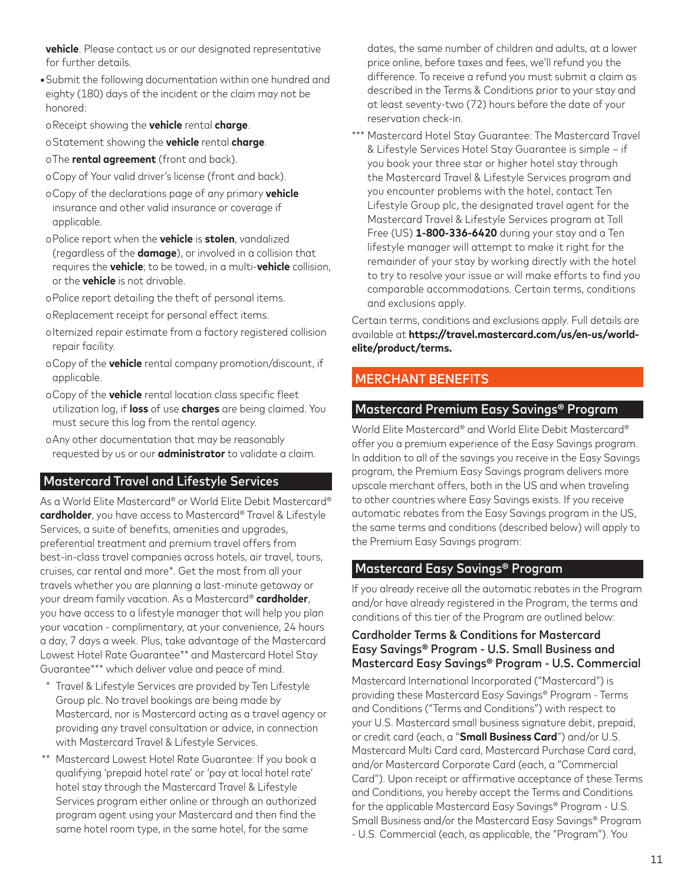**vehicle**. Please contact us or our designated representative for further details.

- **•**Submit the following documentation within one hundred and eighty (180) days of the incident or the claim may not be honored:
- oReceipt showing the **vehicle** rental **charge**.
- oStatement showing the **vehicle** rental **charge**.
- oThe **rental agreement** (front and back).
- oCopy of Your valid driver's license (front and back).
- oCopy of the declarations page of any primary **vehicle** insurance and other valid insurance or coverage if applicable.
- oPolice report when the **vehicle** is **stolen**, vandalized (regardless of the **damage**), or involved in a collision that requires the **vehicle**; to be towed, in a multi-**vehicle** collision, or the **vehicle** is not drivable.
- oPolice report detailing the theft of personal items.
- oReplacement receipt for personal effect items.
- oItemized repair estimate from a factory registered collision repair facility.
- oCopy of the **vehicle** rental company promotion/discount, if applicable.
- oCopy of the **vehicle** rental location class specific fleet utilization log, if **loss** of use **charges** are being claimed. You must secure this log from the rental agency.
- oAny other documentation that may be reasonably requested by us or our **administrator** to validate a claim.

# Mastercard Travel and Lifestyle Services

As a World Elite Mastercard® or World Elite Debit Mastercard® **cardholder**, you have access to Mastercard® Travel & Lifestyle Services, a suite of benefits, amenities and upgrades, preferential treatment and premium travel offers from best-in-class travel companies across hotels, air travel, tours, cruises, car rental and more\*. Get the most from all your travels whether you are planning a last-minute getaway or your dream family vacation. As a Mastercard® **cardholder**, you have access to a lifestyle manager that will help you plan your vacation - complimentary, at your convenience, 24 hours a day, 7 days a week. Plus, take advantage of the Mastercard Lowest Hotel Rate Guarantee\*\* and Mastercard Hotel Stay Guarantee\*\*\* which deliver value and peace of mind.

- \* Travel & Lifestyle Services are provided by Ten Lifestyle Group plc. No travel bookings are being made by Mastercard, nor is Mastercard acting as a travel agency or providing any travel consultation or advice, in connection with Mastercard Travel & Lifestyle Services.
- \*\* Mastercard Lowest Hotel Rate Guarantee: If you book a qualifying 'prepaid hotel rate' or 'pay at local hotel rate' hotel stay through the Mastercard Travel & Lifestyle Services program either online or through an authorized program agent using your Mastercard and then find the same hotel room type, in the same hotel, for the same

dates, the same number of children and adults, at a lower price online, before taxes and fees, we'll refund you the difference. To receive a refund you must submit a claim as described in the Terms & Conditions prior to your stay and at least seventy-two (72) hours before the date of your reservation check-in.

\*\*\* Mastercard Hotel Stay Guarantee: The Mastercard Travel & Lifestyle Services Hotel Stay Guarantee is simple – if you book your three star or higher hotel stay through the Mastercard Travel & Lifestyle Services program and you encounter problems with the hotel, contact Ten Lifestyle Group plc, the designated travel agent for the Mastercard Travel & Lifestyle Services program at Toll Free (US) **1-800-336-6420** during your stay and a Ten lifestyle manager will attempt to make it right for the remainder of your stay by working directly with the hotel to try to resolve your issue or will make efforts to find you comparable accommodations. Certain terms, conditions and exclusions apply.

Certain terms, conditions and exclusions apply. Full details are available at **https://travel.mastercard.com/us/en-us/worldelite/product/terms.**

## MERCHANT BENEFITS

## Mastercard Premium Easy Savings® Program

World Elite Mastercard® and World Elite Debit Mastercard® offer you a premium experience of the Easy Savings program. In addition to all of the savings you receive in the Easy Savings program, the Premium Easy Savings program delivers more upscale merchant offers, both in the US and when traveling to other countries where Easy Savings exists. If you receive automatic rebates from the Easy Savings program in the US, the same terms and conditions (described below) will apply to the Premium Easy Savings program:

### Mastercard Easy Savings® Program

If you already receive all the automatic rebates in the Program and/or have already registered in the Program, the terms and conditions of this tier of the Program are outlined below:

#### Cardholder Terms & Conditions for Mastercard Easy Savings® Program - U.S. Small Business and Mastercard Easy Savings® Program - U.S. Commercial

Mastercard International Incorporated ("Mastercard") is providing these Mastercard Easy Savings® Program - Terms and Conditions ("Terms and Conditions") with respect to your U.S. Mastercard small business signature debit, prepaid, or credit card (each, a "**Small Business Card**") and/or U.S. Mastercard Multi Card card, Mastercard Purchase Card card, and/or Mastercard Corporate Card (each, a "Commercial Card"). Upon receipt or affirmative acceptance of these Terms and Conditions, you hereby accept the Terms and Conditions for the applicable Mastercard Easy Savings® Program - U.S. Small Business and/or the Mastercard Easy Savings® Program - U.S. Commercial (each, as applicable, the "Program"). You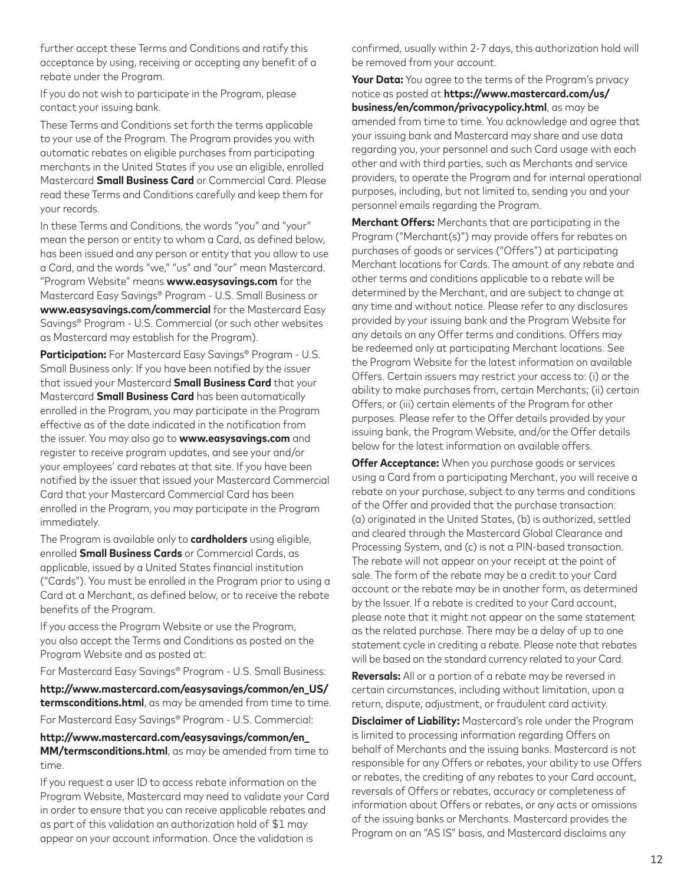further accept these Terms and Conditions and ratify this acceptance by using, receiving or accepting any benefit of a rebate under the Program.

If you do not wish to participate in the Program, please contact your issuing bank.

These Terms and Conditions set forth the terms applicable to your use of the Program. The Program provides you with automatic rebates on eligible purchases from participating merchants in the United States if you use an eligible, enrolled Mastercard **Small Business Card** or Commercial Card. Please read these Terms and Conditions carefully and keep them for your records.

In these Terms and Conditions, the words "you" and "your" mean the person or entity to whom a Card, as defined below, has been issued and any person or entity that you allow to use a Card, and the words "we," "us" and "our" mean Mastercard. "Program Website" means **www.easysavings.com** for the Mastercard Easy Savings® Program - U.S. Small Business or **www.easysavings.com/commercial** for the Mastercard Easy Savings® Program - U.S. Commercial (or such other websites as Mastercard may establish for the Program).

**Participation:** For Mastercard Easy Savings® Program - U.S. Small Business only: If you have been notified by the issuer that issued your Mastercard **Small Business Card** that your Mastercard **Small Business Card** has been automatically enrolled in the Program, you may participate in the Program effective as of the date indicated in the notification from the issuer. You may also go to **www.easysavings.com** and register to receive program updates, and see your and/or your employees' card rebates at that site. If you have been notified by the issuer that issued your Mastercard Commercial Card that your Mastercard Commercial Card has been enrolled in the Program, you may participate in the Program immediately.

The Program is available only to **cardholders** using eligible, enrolled **Small Business Cards** or Commercial Cards, as applicable, issued by a United States financial institution ("Cards"). You must be enrolled in the Program prior to using a Card at a Merchant, as defined below, or to receive the rebate benefits of the Program.

If you access the Program Website or use the Program, you also accept the Terms and Conditions as posted on the Program Website and as posted at:

For Mastercard Easy Savings® Program - U.S. Small Business:

**http://www.mastercard.com/easysavings/common/en\_US/ termsconditions.html**, as may be amended from time to time.

For Mastercard Easy Savings® Program - U.S. Commercial:

**http://www.mastercard.com/easysavings/common/en\_ MM/termsconditions.html**, as may be amended from time to time.

If you request a user ID to access rebate information on the Program Website, Mastercard may need to validate your Card in order to ensure that you can receive applicable rebates and as part of this validation an authorization hold of \$1 may appear on your account information. Once the validation is

confirmed, usually within 2-7 days, this authorization hold will be removed from your account.

**Your Data:** You agree to the terms of the Program's privacy notice as posted at **https://www.mastercard.com/us/ business/en/common/privacypolicy.html**, as may be amended from time to time. You acknowledge and agree that your issuing bank and Mastercard may share and use data regarding you, your personnel and such Card usage with each other and with third parties, such as Merchants and service providers, to operate the Program and for internal operational purposes, including, but not limited to, sending you and your personnel emails regarding the Program.

**Merchant Offers:** Merchants that are participating in the Program ("Merchant(s)") may provide offers for rebates on purchases of goods or services ("Offers") at participating Merchant locations for Cards. The amount of any rebate and other terms and conditions applicable to a rebate will be determined by the Merchant, and are subject to change at any time and without notice. Please refer to any disclosures provided by your issuing bank and the Program Website for any details on any Offer terms and conditions. Offers may be redeemed only at participating Merchant locations. See the Program Website for the latest information on available Offers. Certain issuers may restrict your access to: (i) or the ability to make purchases from, certain Merchants; (ii) certain Offers; or (iii) certain elements of the Program for other purposes. Please refer to the Offer details provided by your issuing bank, the Program Website, and/or the Offer details below for the latest information on available offers.

**Offer Acceptance:** When you purchase goods or services using a Card from a participating Merchant, you will receive a rebate on your purchase, subject to any terms and conditions of the Offer and provided that the purchase transaction: (a) originated in the United States, (b) is authorized, settled and cleared through the Mastercard Global Clearance and Processing System, and (c) is not a PIN-based transaction. The rebate will not appear on your receipt at the point of sale. The form of the rebate may be a credit to your Card account or the rebate may be in another form, as determined by the Issuer. If a rebate is credited to your Card account, please note that it might not appear on the same statement as the related purchase. There may be a delay of up to one statement cycle in crediting a rebate. Please note that rebates will be based on the standard currency related to your Card.

**Reversals:** All or a portion of a rebate may be reversed in certain circumstances, including without limitation, upon a return, dispute, adjustment, or fraudulent card activity.

**Disclaimer of Liability:** Mastercard's role under the Program is limited to processing information regarding Offers on behalf of Merchants and the issuing banks. Mastercard is not responsible for any Offers or rebates, your ability to use Offers or rebates, the crediting of any rebates to your Card account, reversals of Offers or rebates, accuracy or completeness of information about Offers or rebates, or any acts or omissions of the issuing banks or Merchants. Mastercard provides the Program on an "AS IS" basis, and Mastercard disclaims any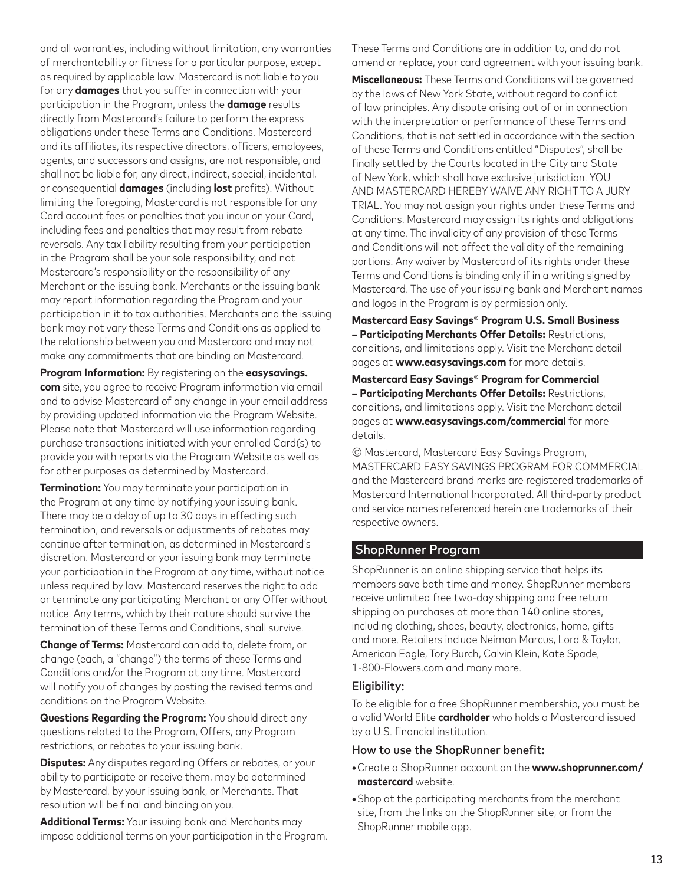and all warranties, including without limitation, any warranties of merchantability or fitness for a particular purpose, except as required by applicable law. Mastercard is not liable to you for any **damages** that you suffer in connection with your participation in the Program, unless the **damage** results directly from Mastercard's failure to perform the express obligations under these Terms and Conditions. Mastercard and its affiliates, its respective directors, officers, employees, agents, and successors and assigns, are not responsible, and shall not be liable for, any direct, indirect, special, incidental, or consequential **damages** (including **lost** profits). Without limiting the foregoing, Mastercard is not responsible for any Card account fees or penalties that you incur on your Card, including fees and penalties that may result from rebate reversals. Any tax liability resulting from your participation in the Program shall be your sole responsibility, and not Mastercard's responsibility or the responsibility of any Merchant or the issuing bank. Merchants or the issuing bank may report information regarding the Program and your participation in it to tax authorities. Merchants and the issuing bank may not vary these Terms and Conditions as applied to the relationship between you and Mastercard and may not make any commitments that are binding on Mastercard.

**Program Information:** By registering on the **easysavings. com** site, you agree to receive Program information via email and to advise Mastercard of any change in your email address by providing updated information via the Program Website. Please note that Mastercard will use information regarding purchase transactions initiated with your enrolled Card(s) to provide you with reports via the Program Website as well as for other purposes as determined by Mastercard.

**Termination:** You may terminate your participation in the Program at any time by notifying your issuing bank. There may be a delay of up to 30 days in effecting such termination, and reversals or adjustments of rebates may continue after termination, as determined in Mastercard's discretion. Mastercard or your issuing bank may terminate your participation in the Program at any time, without notice unless required by law. Mastercard reserves the right to add or terminate any participating Merchant or any Offer without notice. Any terms, which by their nature should survive the termination of these Terms and Conditions, shall survive.

**Change of Terms:** Mastercard can add to, delete from, or change (each, a "change") the terms of these Terms and Conditions and/or the Program at any time. Mastercard will notify you of changes by posting the revised terms and conditions on the Program Website.

**Questions Regarding the Program:** You should direct any questions related to the Program, Offers, any Program restrictions, or rebates to your issuing bank.

**Disputes:** Any disputes regarding Offers or rebates, or your ability to participate or receive them, may be determined by Mastercard, by your issuing bank, or Merchants. That resolution will be final and binding on you.

**Additional Terms:** Your issuing bank and Merchants may impose additional terms on your participation in the Program. These Terms and Conditions are in addition to, and do not amend or replace, your card agreement with your issuing bank.

**Miscellaneous:** These Terms and Conditions will be governed by the laws of New York State, without regard to conflict of law principles. Any dispute arising out of or in connection with the interpretation or performance of these Terms and Conditions, that is not settled in accordance with the section of these Terms and Conditions entitled "Disputes", shall be finally settled by the Courts located in the City and State of New York, which shall have exclusive jurisdiction. YOU AND MASTERCARD HEREBY WAIVE ANY RIGHT TO A JURY TRIAL. You may not assign your rights under these Terms and Conditions. Mastercard may assign its rights and obligations at any time. The invalidity of any provision of these Terms and Conditions will not affect the validity of the remaining portions. Any waiver by Mastercard of its rights under these Terms and Conditions is binding only if in a writing signed by Mastercard. The use of your issuing bank and Merchant names and logos in the Program is by permission only.

**Mastercard Easy Savings**® **Program U.S. Small Business – Participating Merchants Offer Details:** Restrictions, conditions, and limitations apply. Visit the Merchant detail pages at **www.easysavings.com** for more details.

#### **Mastercard Easy Savings**® **Program for Commercial – Participating Merchants Offer Details:** Restrictions, conditions, and limitations apply. Visit the Merchant detail pages at **www.easysavings.com/commercial** for more details.

© Mastercard, Mastercard Easy Savings Program, MASTERCARD EASY SAVINGS PROGRAM FOR COMMERCIAL and the Mastercard brand marks are registered trademarks of Mastercard International Incorporated. All third-party product and service names referenced herein are trademarks of their respective owners.

### ShopRunner Program

ShopRunner is an online shipping service that helps its members save both time and money. ShopRunner members receive unlimited free two-day shipping and free return shipping on purchases at more than 140 online stores, including clothing, shoes, beauty, electronics, home, gifts and more. Retailers include Neiman Marcus, Lord & Taylor, American Eagle, Tory Burch, Calvin Klein, Kate Spade, 1-800-Flowers.com and many more.

#### Eligibility:

To be eligible for a free ShopRunner membership, you must be a valid World Elite **cardholder** who holds a Mastercard issued by a U.S. financial institution.

#### How to use the ShopRunner benefit:

- **•**Create a ShopRunner account on the **www.shoprunner.com/ mastercard** website.
- **•**Shop at the participating merchants from the merchant site, from the links on the ShopRunner site, or from the ShopRunner mobile app.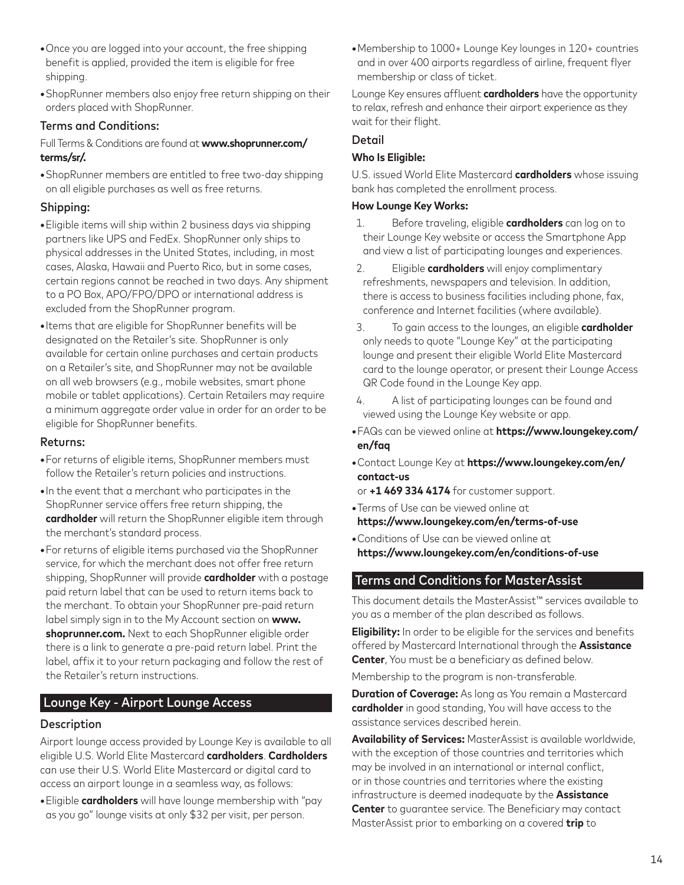- **•**Once you are logged into your account, the free shipping benefit is applied, provided the item is eligible for free shipping.
- **•**ShopRunner members also enjoy free return shipping on their orders placed with ShopRunner.

#### Terms and Conditions:

#### Full Terms & Conditions are found at **www.shoprunner.com/ terms/sr/.**

**•**ShopRunner members are entitled to free two-day shipping on all eligible purchases as well as free returns.

### Shipping:

- **•**Eligible items will ship within 2 business days via shipping partners like UPS and FedEx. ShopRunner only ships to physical addresses in the United States, including, in most cases, Alaska, Hawaii and Puerto Rico, but in some cases, certain regions cannot be reached in two days. Any shipment to a PO Box, APO/FPO/DPO or international address is excluded from the ShopRunner program.
- **•**Items that are eligible for ShopRunner benefits will be designated on the Retailer's site. ShopRunner is only available for certain online purchases and certain products on a Retailer's site, and ShopRunner may not be available on all web browsers (e.g., mobile websites, smart phone mobile or tablet applications). Certain Retailers may require a minimum aggregate order value in order for an order to be eligible for ShopRunner benefits.

#### Returns:

- **•**For returns of eligible items, ShopRunner members must follow the Retailer's return policies and instructions.
- **•**In the event that a merchant who participates in the ShopRunner service offers free return shipping, the **cardholder** will return the ShopRunner eligible item through the merchant's standard process.
- **•**For returns of eligible items purchased via the ShopRunner service, for which the merchant does not offer free return shipping, ShopRunner will provide **cardholder** with a postage paid return label that can be used to return items back to the merchant. To obtain your ShopRunner pre-paid return label simply sign in to the My Account section on **www. shoprunner.com.** Next to each ShopRunner eligible order there is a link to generate a pre-paid return label. Print the label, affix it to your return packaging and follow the rest of the Retailer's return instructions.

## Lounge Key - Airport Lounge Access

### **Description**

Airport lounge access provided by Lounge Key is available to all eligible U.S. World Elite Mastercard **cardholders**. **Cardholders** can use their U.S. World Elite Mastercard or digital card to access an airport lounge in a seamless way, as follows:

**•**Eligible **cardholders** will have lounge membership with "pay as you go" lounge visits at only \$32 per visit, per person.

**•**Membership to 1000+ Lounge Key lounges in 120+ countries and in over 400 airports regardless of airline, frequent flyer membership or class of ticket.

Lounge Key ensures affluent **cardholders** have the opportunity to relax, refresh and enhance their airport experience as they wait for their flight.

#### Detail

#### **Who Is Eligible:**

U.S. issued World Elite Mastercard **cardholders** whose issuing bank has completed the enrollment process.

#### **How Lounge Key Works:**

- 1. Before traveling, eligible **cardholders** can log on to their Lounge Key website or access the Smartphone App and view a list of participating lounges and experiences.
- 2. Eligible **cardholders** will enjoy complimentary refreshments, newspapers and television. In addition, there is access to business facilities including phone, fax, conference and Internet facilities (where available).
- 3. To gain access to the lounges, an eligible **cardholder** only needs to quote "Lounge Key" at the participating lounge and present their eligible World Elite Mastercard card to the lounge operator, or present their Lounge Access QR Code found in the Lounge Key app.
- 4. A list of participating lounges can be found and viewed using the Lounge Key website or app.
- **•**FAQs can be viewed online at **https://www.loungekey.com/ en/faq**
- **•**Contact Lounge Key at **https://www.loungekey.com/en/ contact-us**

or **+1 469 334 4174** for customer support.

- **•**Terms of Use can be viewed online at **https://www.loungekey.com/en/terms-of-use**
- **•**Conditions of Use can be viewed online at **https://www.loungekey.com/en/conditions-of-use**

### Terms and Conditions for MasterAssist

This document details the MasterAssist™ services available to you as a member of the plan described as follows.

**Eligibility:** In order to be eligible for the services and benefits offered by Mastercard International through the **Assistance Center**, You must be a beneficiary as defined below.

Membership to the program is non-transferable.

**Duration of Coverage:** As long as You remain a Mastercard **cardholder** in good standing, You will have access to the assistance services described herein.

**Availability of Services:** MasterAssist is available worldwide, with the exception of those countries and territories which may be involved in an international or internal conflict, or in those countries and territories where the existing infrastructure is deemed inadequate by the **Assistance Center** to guarantee service. The Beneficiary may contact MasterAssist prior to embarking on a covered **trip** to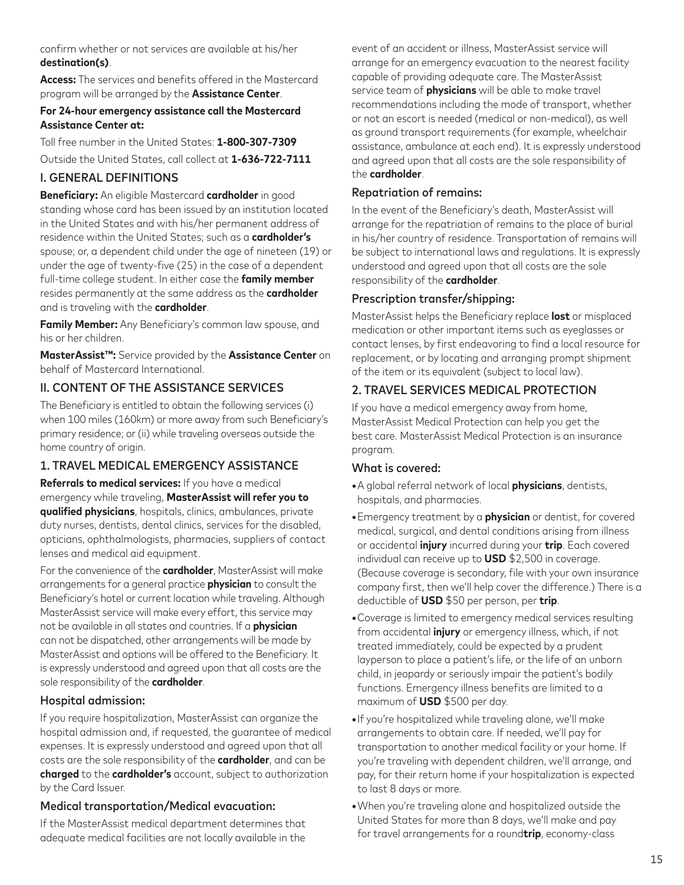confirm whether or not services are available at his/her **destination(s)**.

**Access:** The services and benefits offered in the Mastercard program will be arranged by the **Assistance Center**.

#### **For 24-hour emergency assistance call the Mastercard Assistance Center at:**

Toll free number in the United States: **1-800-307-7309**

Outside the United States, call collect at **1-636-722-7111**

## I. GENERAL DEFINITIONS

**Beneficiary:** An eligible Mastercard **cardholder** in good standing whose card has been issued by an institution located in the United States and with his/her permanent address of residence within the United States; such as a **cardholder's** spouse; or, a dependent child under the age of nineteen (19) or under the age of twenty-five (25) in the case of a dependent full-time college student. In either case the **family member** resides permanently at the same address as the **cardholder** and is traveling with the **cardholder**.

**Family Member:** Any Beneficiary's common law spouse, and his or her children.

**MasterAssist™:** Service provided by the **Assistance Center** on behalf of Mastercard International.

## II. CONTENT OF THE ASSISTANCE SERVICES

The Beneficiary is entitled to obtain the following services (i) when 100 miles (160km) or more away from such Beneficiary's primary residence; or (ii) while traveling overseas outside the home country of origin.

## 1. TRAVEL MEDICAL EMERGENCY ASSISTANCE

**Referrals to medical services:** If you have a medical emergency while traveling, **MasterAssist will refer you to qualified physicians**, hospitals, clinics, ambulances, private duty nurses, dentists, dental clinics, services for the disabled, opticians, ophthalmologists, pharmacies, suppliers of contact lenses and medical aid equipment.

For the convenience of the **cardholder**, MasterAssist will make arrangements for a general practice **physician** to consult the Beneficiary's hotel or current location while traveling. Although MasterAssist service will make every effort, this service may not be available in all states and countries. If a **physician** can not be dispatched, other arrangements will be made by MasterAssist and options will be offered to the Beneficiary. It is expressly understood and agreed upon that all costs are the sole responsibility of the **cardholder**.

## Hospital admission:

If you require hospitalization, MasterAssist can organize the hospital admission and, if requested, the guarantee of medical expenses. It is expressly understood and agreed upon that all costs are the sole responsibility of the **cardholder**, and can be **charged** to the **cardholder's** account, subject to authorization by the Card Issuer.

## Medical transportation/Medical evacuation:

If the MasterAssist medical department determines that adequate medical facilities are not locally available in the event of an accident or illness, MasterAssist service will arrange for an emergency evacuation to the nearest facility capable of providing adequate care. The MasterAssist service team of **physicians** will be able to make travel recommendations including the mode of transport, whether or not an escort is needed (medical or non-medical), as well as ground transport requirements (for example, wheelchair assistance, ambulance at each end). It is expressly understood and agreed upon that all costs are the sole responsibility of the **cardholder**.

## Repatriation of remains:

In the event of the Beneficiary's death, MasterAssist will arrange for the repatriation of remains to the place of burial in his/her country of residence. Transportation of remains will be subject to international laws and regulations. It is expressly understood and agreed upon that all costs are the sole responsibility of the **cardholder**.

## Prescription transfer/shipping:

MasterAssist helps the Beneficiary replace **lost** or misplaced medication or other important items such as eyeglasses or contact lenses, by first endeavoring to find a local resource for replacement, or by locating and arranging prompt shipment of the item or its equivalent (subject to local law).

## 2. TRAVEL SERVICES MEDICAL PROTECTION

If you have a medical emergency away from home, MasterAssist Medical Protection can help you get the best care. MasterAssist Medical Protection is an insurance program.

### What is covered:

- **•**A global referral network of local **physicians**, dentists, hospitals, and pharmacies.
- **•**Emergency treatment by a **physician** or dentist, for covered medical, surgical, and dental conditions arising from illness or accidental **injury** incurred during your **trip**. Each covered individual can receive up to **USD** \$2,500 in coverage. (Because coverage is secondary, file with your own insurance company first, then we'll help cover the difference.) There is a deductible of **USD** \$50 per person, per **trip**.
- **•**Coverage is limited to emergency medical services resulting from accidental **injury** or emergency illness, which, if not treated immediately, could be expected by a prudent layperson to place a patient's life, or the life of an unborn child, in jeopardy or seriously impair the patient's bodily functions. Emergency illness benefits are limited to a maximum of **USD** \$500 per day.
- **•**If you're hospitalized while traveling alone, we'll make arrangements to obtain care. If needed, we'll pay for transportation to another medical facility or your home. If you're traveling with dependent children, we'll arrange, and pay, for their return home if your hospitalization is expected to last 8 days or more.
- **•**When you're traveling alone and hospitalized outside the United States for more than 8 days, we'll make and pay for travel arrangements for a round**trip**, economy-class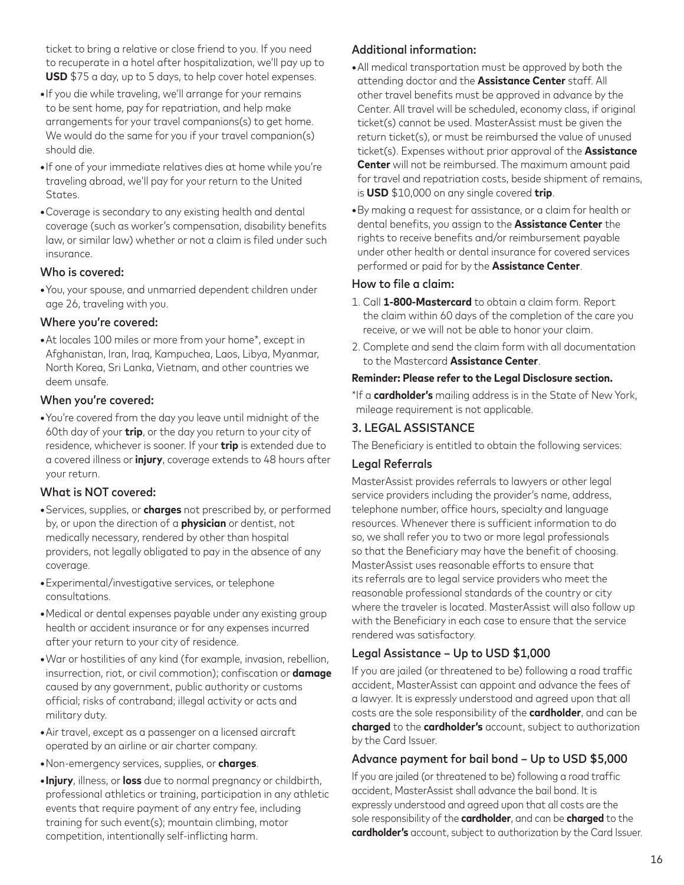ticket to bring a relative or close friend to you. If you need to recuperate in a hotel after hospitalization, we'll pay up to **USD** \$75 a day, up to 5 days, to help cover hotel expenses.

- **•**If you die while traveling, we'll arrange for your remains to be sent home, pay for repatriation, and help make arrangements for your travel companions(s) to get home. We would do the same for you if your travel companion(s) should die.
- **•**If one of your immediate relatives dies at home while you're traveling abroad, we'll pay for your return to the United States.
- **•**Coverage is secondary to any existing health and dental coverage (such as worker's compensation, disability benefits law, or similar law) whether or not a claim is filed under such insurance.

#### Who is covered:

**•**You, your spouse, and unmarried dependent children under age 26, traveling with you.

### Where you're covered:

**•**At locales 100 miles or more from your home\*, except in Afghanistan, Iran, Iraq, Kampuchea, Laos, Libya, Myanmar, North Korea, Sri Lanka, Vietnam, and other countries we deem unsafe.

#### When you're covered:

**•**You're covered from the day you leave until midnight of the 60th day of your **trip**, or the day you return to your city of residence, whichever is sooner. If your **trip** is extended due to a covered illness or **injury**, coverage extends to 48 hours after your return.

### What is NOT covered:

- **•**Services, supplies, or **charges** not prescribed by, or performed by, or upon the direction of a **physician** or dentist, not medically necessary, rendered by other than hospital providers, not legally obligated to pay in the absence of any coverage.
- **•**Experimental/investigative services, or telephone consultations.
- **•**Medical or dental expenses payable under any existing group health or accident insurance or for any expenses incurred after your return to your city of residence.
- **•**War or hostilities of any kind (for example, invasion, rebellion, insurrection, riot, or civil commotion); confiscation or **damage** caused by any government, public authority or customs official; risks of contraband; illegal activity or acts and military duty.
- **•**Air travel, except as a passenger on a licensed aircraft operated by an airline or air charter company.
- **•**Non-emergency services, supplies, or **charges**.
- **•Injury**, illness, or **loss** due to normal pregnancy or childbirth, professional athletics or training, participation in any athletic events that require payment of any entry fee, including training for such event(s); mountain climbing, motor competition, intentionally self-inflicting harm.

## Additional information:

- **•**All medical transportation must be approved by both the attending doctor and the **Assistance Center** staff. All other travel benefits must be approved in advance by the Center. All travel will be scheduled, economy class, if original ticket(s) cannot be used. MasterAssist must be given the return ticket(s), or must be reimbursed the value of unused ticket(s). Expenses without prior approval of the **Assistance Center** will not be reimbursed. The maximum amount paid for travel and repatriation costs, beside shipment of remains, is **USD** \$10,000 on any single covered **trip**.
- **•**By making a request for assistance, or a claim for health or dental benefits, you assign to the **Assistance Center** the rights to receive benefits and/or reimbursement payable under other health or dental insurance for covered services performed or paid for by the **Assistance Center**.

### How to file a claim:

- 1. Call **1-800-Mastercard** to obtain a claim form. Report the claim within 60 days of the completion of the care you receive, or we will not be able to honor your claim.
- 2. Complete and send the claim form with all documentation to the Mastercard **Assistance Center**.

#### **Reminder: Please refer to the Legal Disclosure section.**

\*If a **cardholder's** mailing address is in the State of New York, mileage requirement is not applicable.

### 3. LEGAL ASSISTANCE

The Beneficiary is entitled to obtain the following services:

### Legal Referrals

MasterAssist provides referrals to lawyers or other legal service providers including the provider's name, address, telephone number, office hours, specialty and language resources. Whenever there is sufficient information to do so, we shall refer you to two or more legal professionals so that the Beneficiary may have the benefit of choosing. MasterAssist uses reasonable efforts to ensure that its referrals are to legal service providers who meet the reasonable professional standards of the country or city where the traveler is located. MasterAssist will also follow up with the Beneficiary in each case to ensure that the service rendered was satisfactory.

## Legal Assistance – Up to USD \$1,000

If you are jailed (or threatened to be) following a road traffic accident, MasterAssist can appoint and advance the fees of a lawyer. It is expressly understood and agreed upon that all costs are the sole responsibility of the **cardholder**, and can be **charged** to the **cardholder's** account, subject to authorization by the Card Issuer.

## Advance payment for bail bond – Up to USD \$5,000

If you are jailed (or threatened to be) following a road traffic accident, MasterAssist shall advance the bail bond. It is expressly understood and agreed upon that all costs are the sole responsibility of the **cardholder**, and can be **charged** to the **cardholder's** account, subject to authorization by the Card Issuer.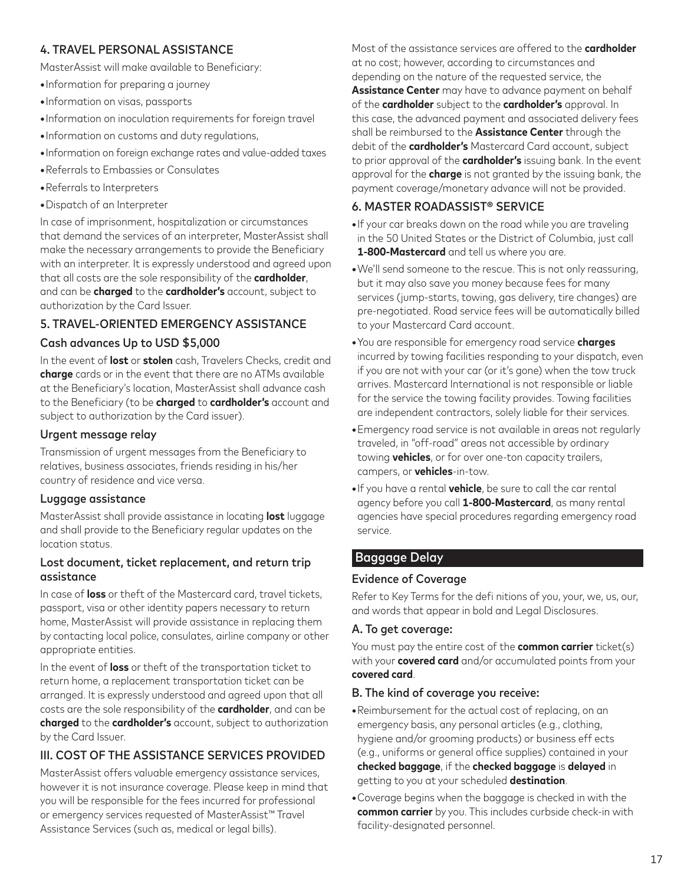## 4. TRAVEL PERSONAL ASSISTANCE

MasterAssist will make available to Beneficiary:

- **•**Information for preparing a journey
- **•**Information on visas, passports
- **•**Information on inoculation requirements for foreign travel
- **•**Information on customs and duty regulations,
- **•**Information on foreign exchange rates and value-added taxes
- **•**Referrals to Embassies or Consulates
- **•**Referrals to Interpreters
- **•**Dispatch of an Interpreter

In case of imprisonment, hospitalization or circumstances that demand the services of an interpreter, MasterAssist shall make the necessary arrangements to provide the Beneficiary with an interpreter. It is expressly understood and agreed upon that all costs are the sole responsibility of the **cardholder**, and can be **charged** to the **cardholder's** account, subject to authorization by the Card Issuer.

## 5. TRAVEL-ORIENTED EMERGENCY ASSISTANCE

#### Cash advances Up to USD \$5,000

In the event of **lost** or **stolen** cash, Travelers Checks, credit and **charge** cards or in the event that there are no ATMs available at the Beneficiary's location, MasterAssist shall advance cash to the Beneficiary (to be **charged** to **cardholder's** account and subject to authorization by the Card issuer).

#### Urgent message relay

Transmission of urgent messages from the Beneficiary to relatives, business associates, friends residing in his/her country of residence and vice versa.

### Luggage assistance

MasterAssist shall provide assistance in locating **lost** luggage and shall provide to the Beneficiary regular updates on the location status.

#### Lost document, ticket replacement, and return trip assistance

In case of **loss** or theft of the Mastercard card, travel tickets, passport, visa or other identity papers necessary to return home, MasterAssist will provide assistance in replacing them by contacting local police, consulates, airline company or other appropriate entities.

In the event of **loss** or theft of the transportation ticket to return home, a replacement transportation ticket can be arranged. It is expressly understood and agreed upon that all costs are the sole responsibility of the **cardholder**, and can be **charged** to the **cardholder's** account, subject to authorization by the Card Issuer.

## III. COST OF THE ASSISTANCE SERVICES PROVIDED

MasterAssist offers valuable emergency assistance services, however it is not insurance coverage. Please keep in mind that you will be responsible for the fees incurred for professional or emergency services requested of MasterAssist™ Travel Assistance Services (such as, medical or legal bills).

Most of the assistance services are offered to the **cardholder** at no cost; however, according to circumstances and depending on the nature of the requested service, the **Assistance Center** may have to advance payment on behalf of the **cardholder** subject to the **cardholder's** approval. In this case, the advanced payment and associated delivery fees shall be reimbursed to the **Assistance Center** through the debit of the **cardholder's** Mastercard Card account, subject to prior approval of the **cardholder's** issuing bank. In the event approval for the **charge** is not granted by the issuing bank, the payment coverage/monetary advance will not be provided.

## 6. MASTER ROADASSIST® SERVICE

- **•**If your car breaks down on the road while you are traveling in the 50 United States or the District of Columbia, just call **1-800-Mastercard** and tell us where you are.
- **•**We'll send someone to the rescue. This is not only reassuring, but it may also save you money because fees for many services (jump-starts, towing, gas delivery, tire changes) are pre-negotiated. Road service fees will be automatically billed to your Mastercard Card account.
- **•**You are responsible for emergency road service **charges** incurred by towing facilities responding to your dispatch, even if you are not with your car (or it's gone) when the tow truck arrives. Mastercard International is not responsible or liable for the service the towing facility provides. Towing facilities are independent contractors, solely liable for their services.
- **•**Emergency road service is not available in areas not regularly traveled, in "off-road" areas not accessible by ordinary towing **vehicles**, or for over one-ton capacity trailers, campers, or **vehicles**-in-tow.
- **•**If you have a rental **vehicle**, be sure to call the car rental agency before you call **1-800-Mastercard**, as many rental agencies have special procedures regarding emergency road service.

### Baggage Delay

### Evidence of Coverage

Refer to Key Terms for the defi nitions of you, your, we, us, our, and words that appear in bold and Legal Disclosures.

#### A. To get coverage:

You must pay the entire cost of the **common carrier** ticket(s) with your **covered card** and/or accumulated points from your **covered card**.

#### B. The kind of coverage you receive:

- **•**Reimbursement for the actual cost of replacing, on an emergency basis, any personal articles (e.g., clothing, hygiene and/or grooming products) or business eff ects (e.g., uniforms or general office supplies) contained in your **checked baggage**, if the **checked baggage** is **delayed** in getting to you at your scheduled **destination**.
- **•**Coverage begins when the baggage is checked in with the **common carrier** by you. This includes curbside check-in with facility-designated personnel.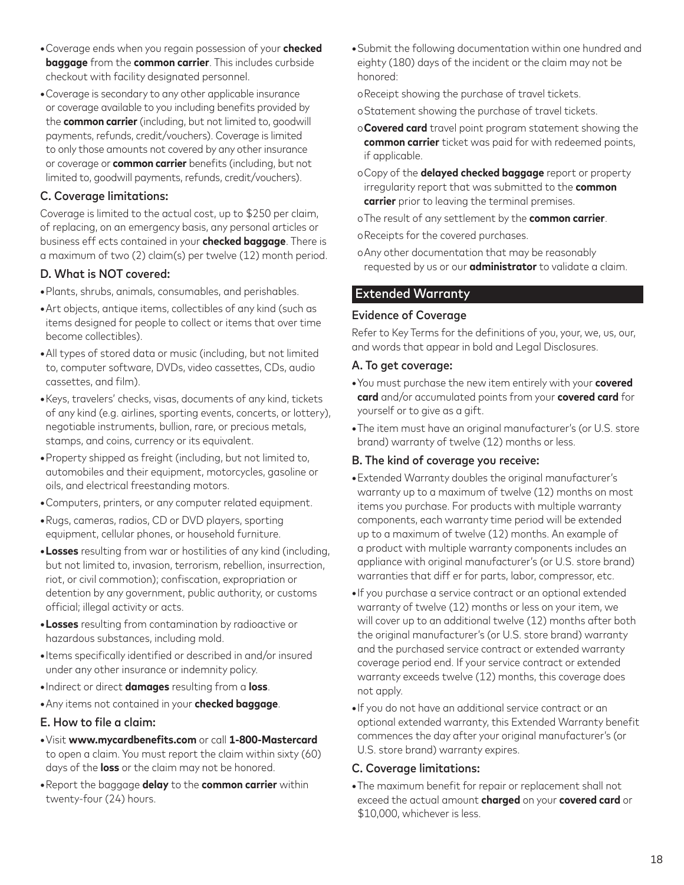- **•**Coverage ends when you regain possession of your **checked baggage** from the **common carrier**. This includes curbside checkout with facility designated personnel.
- **•**Coverage is secondary to any other applicable insurance or coverage available to you including benefits provided by the **common carrier** (including, but not limited to, goodwill payments, refunds, credit/vouchers). Coverage is limited to only those amounts not covered by any other insurance or coverage or **common carrier** benefits (including, but not limited to, goodwill payments, refunds, credit/vouchers).

### C. Coverage limitations:

Coverage is limited to the actual cost, up to \$250 per claim, of replacing, on an emergency basis, any personal articles or business eff ects contained in your **checked baggage**. There is a maximum of two (2) claim(s) per twelve (12) month period.

## D. What is NOT covered:

- **•**Plants, shrubs, animals, consumables, and perishables.
- **•**Art objects, antique items, collectibles of any kind (such as items designed for people to collect or items that over time become collectibles).
- **•**All types of stored data or music (including, but not limited to, computer software, DVDs, video cassettes, CDs, audio cassettes, and film).
- **•**Keys, travelers' checks, visas, documents of any kind, tickets of any kind (e.g. airlines, sporting events, concerts, or lottery), negotiable instruments, bullion, rare, or precious metals, stamps, and coins, currency or its equivalent.
- **•**Property shipped as freight (including, but not limited to, automobiles and their equipment, motorcycles, gasoline or oils, and electrical freestanding motors.
- **•**Computers, printers, or any computer related equipment.
- **•**Rugs, cameras, radios, CD or DVD players, sporting equipment, cellular phones, or household furniture.
- **•Losses** resulting from war or hostilities of any kind (including, but not limited to, invasion, terrorism, rebellion, insurrection, riot, or civil commotion); confiscation, expropriation or detention by any government, public authority, or customs official; illegal activity or acts.
- **•Losses** resulting from contamination by radioactive or hazardous substances, including mold.
- **•**Items specifically identified or described in and/or insured under any other insurance or indemnity policy.
- **•**Indirect or direct **damages** resulting from a **loss**.
- **•**Any items not contained in your **checked baggage**.

### E. How to file a claim:

- **•**Visit **www.mycardbenefits.com** or call **1-800-Mastercard** to open a claim. You must report the claim within sixty (60) days of the **loss** or the claim may not be honored.
- **•**Report the baggage **delay** to the **common carrier** within twenty-four (24) hours.

**•**Submit the following documentation within one hundred and eighty (180) days of the incident or the claim may not be honored:

oReceipt showing the purchase of travel tickets.

- oStatement showing the purchase of travel tickets.
- o**Covered card** travel point program statement showing the **common carrier** ticket was paid for with redeemed points, if applicable.
- oCopy of the **delayed checked baggage** report or property irregularity report that was submitted to the **common carrier** prior to leaving the terminal premises.
- oThe result of any settlement by the **common carrier**.
- oReceipts for the covered purchases.
- oAny other documentation that may be reasonably requested by us or our **administrator** to validate a claim.

## Extended Warranty

### Evidence of Coverage

Refer to Key Terms for the definitions of you, your, we, us, our, and words that appear in bold and Legal Disclosures.

#### A. To get coverage:

- **•**You must purchase the new item entirely with your **covered card** and/or accumulated points from your **covered card** for yourself or to give as a gift.
- **•**The item must have an original manufacturer's (or U.S. store brand) warranty of twelve (12) months or less.

### B. The kind of coverage you receive:

- **•**Extended Warranty doubles the original manufacturer's warranty up to a maximum of twelve (12) months on most items you purchase. For products with multiple warranty components, each warranty time period will be extended up to a maximum of twelve (12) months. An example of a product with multiple warranty components includes an appliance with original manufacturer's (or U.S. store brand) warranties that diff er for parts, labor, compressor, etc.
- **•**If you purchase a service contract or an optional extended warranty of twelve (12) months or less on your item, we will cover up to an additional twelve (12) months after both the original manufacturer's (or U.S. store brand) warranty and the purchased service contract or extended warranty coverage period end. If your service contract or extended warranty exceeds twelve (12) months, this coverage does not apply.
- **•**If you do not have an additional service contract or an optional extended warranty, this Extended Warranty benefit commences the day after your original manufacturer's (or U.S. store brand) warranty expires.

## C. Coverage limitations:

**•**The maximum benefit for repair or replacement shall not exceed the actual amount **charged** on your **covered card** or \$10,000, whichever is less.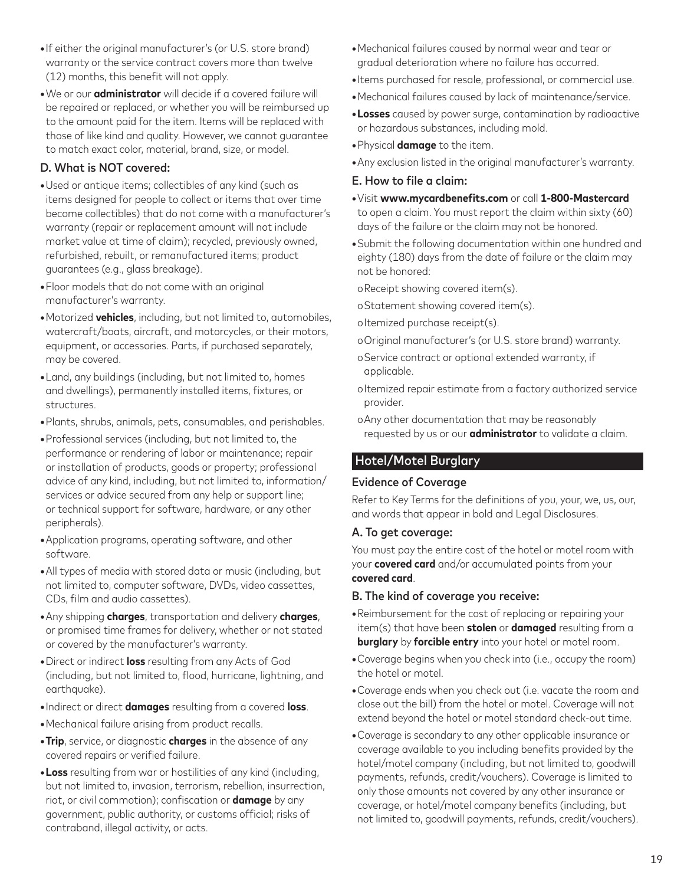- **•**If either the original manufacturer's (or U.S. store brand) warranty or the service contract covers more than twelve (12) months, this benefit will not apply.
- **•**We or our **administrator** will decide if a covered failure will be repaired or replaced, or whether you will be reimbursed up to the amount paid for the item. Items will be replaced with those of like kind and quality. However, we cannot guarantee to match exact color, material, brand, size, or model.

## D. What is NOT covered:

- **•**Used or antique items; collectibles of any kind (such as items designed for people to collect or items that over time become collectibles) that do not come with a manufacturer's warranty (repair or replacement amount will not include market value at time of claim); recycled, previously owned, refurbished, rebuilt, or remanufactured items; product guarantees (e.g., glass breakage).
- **•**Floor models that do not come with an original manufacturer's warranty.
- **•**Motorized **vehicles**, including, but not limited to, automobiles, watercraft/boats, aircraft, and motorcycles, or their motors, equipment, or accessories. Parts, if purchased separately, may be covered.
- **•**Land, any buildings (including, but not limited to, homes and dwellings), permanently installed items, fixtures, or structures.
- **•**Plants, shrubs, animals, pets, consumables, and perishables.
- **•**Professional services (including, but not limited to, the performance or rendering of labor or maintenance; repair or installation of products, goods or property; professional advice of any kind, including, but not limited to, information/ services or advice secured from any help or support line; or technical support for software, hardware, or any other peripherals).
- **•**Application programs, operating software, and other software.
- **•**All types of media with stored data or music (including, but not limited to, computer software, DVDs, video cassettes, CDs, film and audio cassettes).
- **•**Any shipping **charges**, transportation and delivery **charges**, or promised time frames for delivery, whether or not stated or covered by the manufacturer's warranty.
- **•**Direct or indirect **loss** resulting from any Acts of God (including, but not limited to, flood, hurricane, lightning, and earthquake).
- **•**Indirect or direct **damages** resulting from a covered **loss**.
- **•**Mechanical failure arising from product recalls.
- **•Trip**, service, or diagnostic **charges** in the absence of any covered repairs or verified failure.
- **•Loss** resulting from war or hostilities of any kind (including, but not limited to, invasion, terrorism, rebellion, insurrection, riot, or civil commotion); confiscation or **damage** by any government, public authority, or customs official; risks of contraband, illegal activity, or acts.
- **•**Mechanical failures caused by normal wear and tear or gradual deterioration where no failure has occurred.
- **•**Items purchased for resale, professional, or commercial use.
- **•**Mechanical failures caused by lack of maintenance/service.
- **•Losses** caused by power surge, contamination by radioactive or hazardous substances, including mold.
- **•**Physical **damage** to the item.
- **•**Any exclusion listed in the original manufacturer's warranty.

#### E. How to file a claim:

- **•**Visit **www.mycardbenefits.com** or call **1-800-Mastercard** to open a claim. You must report the claim within sixty (60) days of the failure or the claim may not be honored.
- **•**Submit the following documentation within one hundred and eighty (180) days from the date of failure or the claim may not be honored:

oReceipt showing covered item(s).

- oStatement showing covered item(s).
- oItemized purchase receipt(s).
- oOriginal manufacturer's (or U.S. store brand) warranty.
- oService contract or optional extended warranty, if applicable.
- oItemized repair estimate from a factory authorized service provider.
- oAny other documentation that may be reasonably requested by us or our **administrator** to validate a claim.

## Hotel/Motel Burglary

#### Evidence of Coverage

Refer to Key Terms for the definitions of you, your, we, us, our, and words that appear in bold and Legal Disclosures.

#### A. To get coverage:

You must pay the entire cost of the hotel or motel room with your **covered card** and/or accumulated points from your **covered card**.

#### B. The kind of coverage you receive:

- **•**Reimbursement for the cost of replacing or repairing your item(s) that have been **stolen** or **damaged** resulting from a **burglary** by **forcible entry** into your hotel or motel room.
- **•**Coverage begins when you check into (i.e., occupy the room) the hotel or motel.
- **•**Coverage ends when you check out (i.e. vacate the room and close out the bill) from the hotel or motel. Coverage will not extend beyond the hotel or motel standard check-out time.
- **•**Coverage is secondary to any other applicable insurance or coverage available to you including benefits provided by the hotel/motel company (including, but not limited to, goodwill payments, refunds, credit/vouchers). Coverage is limited to only those amounts not covered by any other insurance or coverage, or hotel/motel company benefits (including, but not limited to, goodwill payments, refunds, credit/vouchers).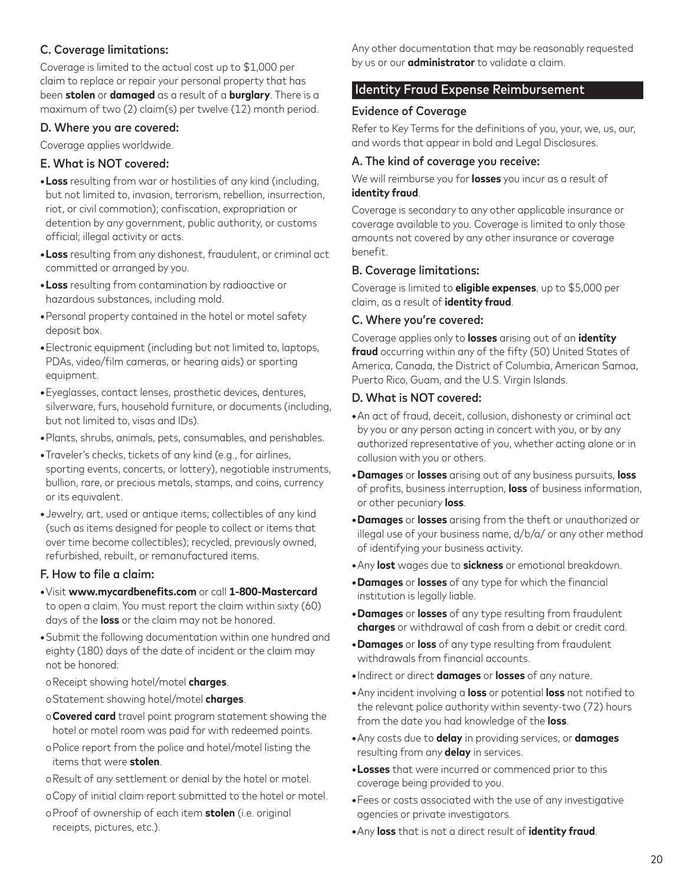## C. Coverage limitations:

Coverage is limited to the actual cost up to \$1,000 per claim to replace or repair your personal property that has been **stolen** or **damaged** as a result of a **burglary**. There is a maximum of two (2) claim(s) per twelve (12) month period.

#### D. Where you are covered:

Coverage applies worldwide.

#### E. What is NOT covered:

- **•Loss** resulting from war or hostilities of any kind (including, but not limited to, invasion, terrorism, rebellion, insurrection, riot, or civil commotion); confiscation, expropriation or detention by any government, public authority, or customs official; illegal activity or acts.
- **•Loss** resulting from any dishonest, fraudulent, or criminal act committed or arranged by you.
- **•Loss** resulting from contamination by radioactive or hazardous substances, including mold.
- **•**Personal property contained in the hotel or motel safety deposit box.
- **•**Electronic equipment (including but not limited to, laptops, PDAs, video/film cameras, or hearing aids) or sporting equipment.
- **•**Eyeglasses, contact lenses, prosthetic devices, dentures, silverware, furs, household furniture, or documents (including, but not limited to, visas and IDs).
- **•**Plants, shrubs, animals, pets, consumables, and perishables.
- **•**Traveler's checks, tickets of any kind (e.g., for airlines, sporting events, concerts, or lottery), negotiable instruments, bullion, rare, or precious metals, stamps, and coins, currency or its equivalent.
- **•**Jewelry, art, used or antique items; collectibles of any kind (such as items designed for people to collect or items that over time become collectibles); recycled, previously owned, refurbished, rebuilt, or remanufactured items.

### F. How to file a claim:

- **•**Visit **www.mycardbenefits.com** or call **1-800-Mastercard** to open a claim. You must report the claim within sixty (60) days of the **loss** or the claim may not be honored.
- **•**Submit the following documentation within one hundred and eighty (180) days of the date of incident or the claim may not be honored:
- oReceipt showing hotel/motel **charges**.
- oStatement showing hotel/motel **charges**.
- o**Covered card** travel point program statement showing the hotel or motel room was paid for with redeemed points.
- oPolice report from the police and hotel/motel listing the items that were **stolen**.
- oResult of any settlement or denial by the hotel or motel.
- oCopy of initial claim report submitted to the hotel or motel.
- oProof of ownership of each item **stolen** (i.e. original receipts, pictures, etc.).

Any other documentation that may be reasonably requested by us or our **administrator** to validate a claim.

### **Identity Fraud Expense Reimbursement**

#### Evidence of Coverage

Refer to Key Terms for the definitions of you, your, we, us, our, and words that appear in bold and Legal Disclosures.

#### A. The kind of coverage you receive:

We will reimburse you for **losses** you incur as a result of **identity fraud**.

Coverage is secondary to any other applicable insurance or coverage available to you. Coverage is limited to only those amounts not covered by any other insurance or coverage benefit.

#### B. Coverage limitations:

Coverage is limited to **eligible expenses**, up to \$5,000 per claim, as a result of **identity fraud**.

#### C. Where you're covered:

Coverage applies only to **losses** arising out of an **identity fraud** occurring within any of the fifty (50) United States of America, Canada, the District of Columbia, American Samoa, Puerto Rico, Guam, and the U.S. Virgin Islands.

#### D. What is NOT covered:

- **•**An act of fraud, deceit, collusion, dishonesty or criminal act by you or any person acting in concert with you, or by any authorized representative of you, whether acting alone or in collusion with you or others.
- **•Damages** or **losses** arising out of any business pursuits, **loss** of profits, business interruption, **loss** of business information, or other pecuniary **loss**.
- **•Damages** or **losses** arising from the theft or unauthorized or illegal use of your business name, d/b/a/ or any other method of identifying your business activity.
- **•**Any **lost** wages due to **sickness** or emotional breakdown.
- **•Damages** or **losses** of any type for which the financial institution is legally liable.
- **•Damages** or **losses** of any type resulting from fraudulent **charges** or withdrawal of cash from a debit or credit card.
- **•Damages** or **loss** of any type resulting from fraudulent withdrawals from financial accounts.
- **•**Indirect or direct **damages** or **losses** of any nature.
- **•**Any incident involving a **loss** or potential **loss** not notified to the relevant police authority within seventy-two (72) hours from the date you had knowledge of the **loss**.
- **•**Any costs due to **delay** in providing services, or **damages** resulting from any **delay** in services.
- **•Losses** that were incurred or commenced prior to this coverage being provided to you.
- **•**Fees or costs associated with the use of any investigative agencies or private investigators.
- **•**Any **loss** that is not a direct result of **identity fraud**.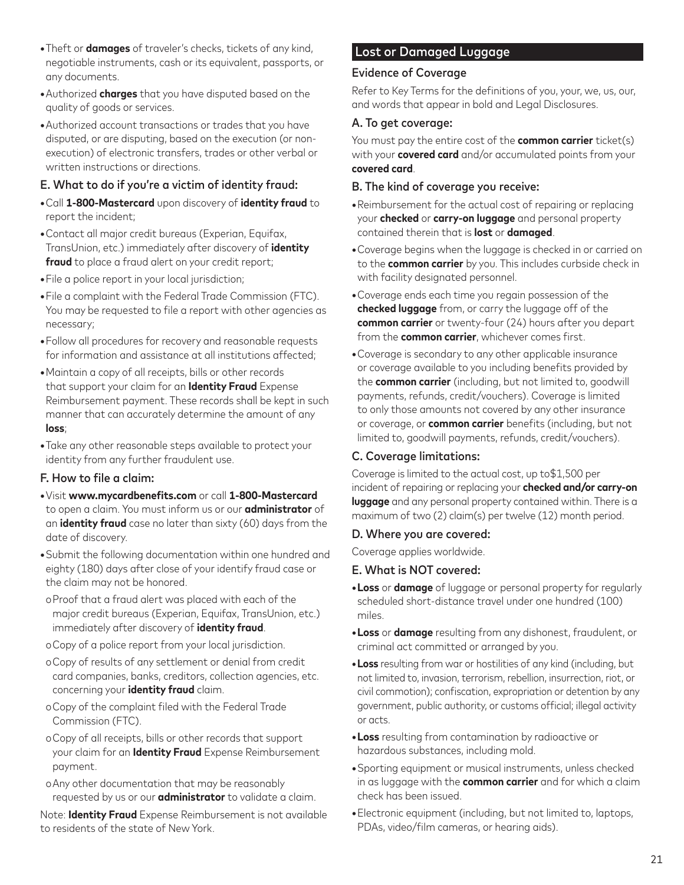- **•**Theft or **damages** of traveler's checks, tickets of any kind, negotiable instruments, cash or its equivalent, passports, or any documents.
- **•**Authorized **charges** that you have disputed based on the quality of goods or services.
- **•**Authorized account transactions or trades that you have disputed, or are disputing, based on the execution (or nonexecution) of electronic transfers, trades or other verbal or written instructions or directions.

## E. What to do if you're a victim of identity fraud:

- **•**Call **1-800-Mastercard** upon discovery of **identity fraud** to report the incident;
- **•**Contact all major credit bureaus (Experian, Equifax, TransUnion, etc.) immediately after discovery of **identity fraud** to place a fraud alert on your credit report;
- **•**File a police report in your local jurisdiction;
- **•**File a complaint with the Federal Trade Commission (FTC). You may be requested to file a report with other agencies as necessary;
- **•**Follow all procedures for recovery and reasonable requests for information and assistance at all institutions affected;
- **•**Maintain a copy of all receipts, bills or other records that support your claim for an **Identity Fraud** Expense Reimbursement payment. These records shall be kept in such manner that can accurately determine the amount of any **loss**;
- **•**Take any other reasonable steps available to protect your identity from any further fraudulent use.

#### F. How to file a claim:

- **•**Visit **www.mycardbenefits.com** or call **1-800-Mastercard** to open a claim. You must inform us or our **administrator** of an **identity fraud** case no later than sixty (60) days from the date of discovery.
- **•**Submit the following documentation within one hundred and eighty (180) days after close of your identify fraud case or the claim may not be honored.
- oProof that a fraud alert was placed with each of the major credit bureaus (Experian, Equifax, TransUnion, etc.) immediately after discovery of **identity fraud**.
- oCopy of a police report from your local jurisdiction.
- oCopy of results of any settlement or denial from credit card companies, banks, creditors, collection agencies, etc. concerning your **identity fraud** claim.
- oCopy of the complaint filed with the Federal Trade Commission (FTC).
- oCopy of all receipts, bills or other records that support your claim for an **Identity Fraud** Expense Reimbursement payment.
- oAny other documentation that may be reasonably requested by us or our **administrator** to validate a claim.

Note: **Identity Fraud** Expense Reimbursement is not available to residents of the state of New York.

# Lost or Damaged Luggage

### Evidence of Coverage

Refer to Key Terms for the definitions of you, your, we, us, our, and words that appear in bold and Legal Disclosures.

#### A. To get coverage:

You must pay the entire cost of the **common carrier** ticket(s) with your **covered card** and/or accumulated points from your **covered card**.

#### B. The kind of coverage you receive:

- **•**Reimbursement for the actual cost of repairing or replacing your **checked** or **carry-on luggage** and personal property contained therein that is **lost** or **damaged**.
- **•**Coverage begins when the luggage is checked in or carried on to the **common carrier** by you. This includes curbside check in with facility designated personnel.
- **•**Coverage ends each time you regain possession of the **checked luggage** from, or carry the luggage off of the **common carrier** or twenty-four (24) hours after you depart from the **common carrier**, whichever comes first.
- **•**Coverage is secondary to any other applicable insurance or coverage available to you including benefits provided by the **common carrier** (including, but not limited to, goodwill payments, refunds, credit/vouchers). Coverage is limited to only those amounts not covered by any other insurance or coverage, or **common carrier** benefits (including, but not limited to, goodwill payments, refunds, credit/vouchers).

## C. Coverage limitations:

Coverage is limited to the actual cost, up to\$1,500 per incident of repairing or replacing your **checked and/or carry-on luggage** and any personal property contained within. There is a maximum of two (2) claim(s) per twelve (12) month period.

### D. Where you are covered:

Coverage applies worldwide.

### E. What is NOT covered:

- **•Loss** or **damage** of luggage or personal property for regularly scheduled short-distance travel under one hundred (100) miles.
- **•Loss** or **damage** resulting from any dishonest, fraudulent, or criminal act committed or arranged by you.
- **•Loss** resulting from war or hostilities of any kind (including, but not limited to, invasion, terrorism, rebellion, insurrection, riot, or civil commotion); confiscation, expropriation or detention by any government, public authority, or customs official; illegal activity or acts.
- **•Loss** resulting from contamination by radioactive or hazardous substances, including mold.
- **•**Sporting equipment or musical instruments, unless checked in as luggage with the **common carrier** and for which a claim check has been issued.
- **•**Electronic equipment (including, but not limited to, laptops, PDAs, video/film cameras, or hearing aids).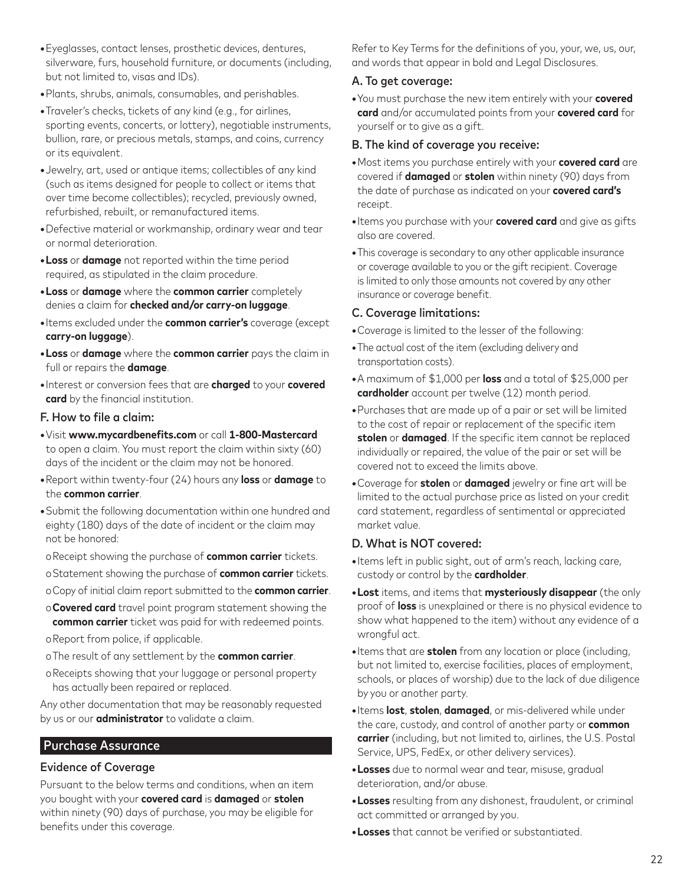- **•**Eyeglasses, contact lenses, prosthetic devices, dentures, silverware, furs, household furniture, or documents (including, but not limited to, visas and IDs).
- **•**Plants, shrubs, animals, consumables, and perishables.
- **•**Traveler's checks, tickets of any kind (e.g., for airlines, sporting events, concerts, or lottery), negotiable instruments, bullion, rare, or precious metals, stamps, and coins, currency or its equivalent.
- **•**Jewelry, art, used or antique items; collectibles of any kind (such as items designed for people to collect or items that over time become collectibles); recycled, previously owned, refurbished, rebuilt, or remanufactured items.
- **•**Defective material or workmanship, ordinary wear and tear or normal deterioration.
- **•Loss** or **damage** not reported within the time period required, as stipulated in the claim procedure.
- **•Loss** or **damage** where the **common carrier** completely denies a claim for **checked and/or carry-on luggage**.
- **•**Items excluded under the **common carrier's** coverage (except **carry-on luggage**).
- **•Loss** or **damage** where the **common carrier** pays the claim in full or repairs the **damage**.
- **•**Interest or conversion fees that are **charged** to your **covered card** by the financial institution.

## F. How to file a claim:

- **•**Visit **www.mycardbenefits.com** or call **1-800-Mastercard** to open a claim. You must report the claim within sixty (60) days of the incident or the claim may not be honored.
- **•**Report within twenty-four (24) hours any **loss** or **damage** to the **common carrier**.
- **•**Submit the following documentation within one hundred and eighty (180) days of the date of incident or the claim may not be honored:
- oReceipt showing the purchase of **common carrier** tickets.
- oStatement showing the purchase of **common carrier** tickets.
- oCopy of initial claim report submitted to the **common carrier**.
- o**Covered card** travel point program statement showing the **common carrier** ticket was paid for with redeemed points.
- oReport from police, if applicable.
- oThe result of any settlement by the **common carrier**.
- oReceipts showing that your luggage or personal property has actually been repaired or replaced.

Any other documentation that may be reasonably requested by us or our **administrator** to validate a claim.

# Purchase Assurance

# Evidence of Coverage

Pursuant to the below terms and conditions, when an item you bought with your **covered card** is **damaged** or **stolen** within ninety (90) days of purchase, you may be eligible for benefits under this coverage.

Refer to Key Terms for the definitions of you, your, we, us, our, and words that appear in bold and Legal Disclosures.

## A. To get coverage:

**•**You must purchase the new item entirely with your **covered card** and/or accumulated points from your **covered card** for yourself or to give as a gift.

#### B. The kind of coverage you receive:

- **•**Most items you purchase entirely with your **covered card** are covered if **damaged** or **stolen** within ninety (90) days from the date of purchase as indicated on your **covered card's** receipt.
- **•**Items you purchase with your **covered card** and give as gifts also are covered.
- **•**This coverage is secondary to any other applicable insurance or coverage available to you or the gift recipient. Coverage is limited to only those amounts not covered by any other insurance or coverage benefit.

### C. Coverage limitations:

- **•**Coverage is limited to the lesser of the following:
- **•**The actual cost of the item (excluding delivery and transportation costs).
- **•**A maximum of \$1,000 per **loss** and a total of \$25,000 per **cardholder** account per twelve (12) month period.
- **•**Purchases that are made up of a pair or set will be limited to the cost of repair or replacement of the specific item **stolen** or **damaged**. If the specific item cannot be replaced individually or repaired, the value of the pair or set will be covered not to exceed the limits above.
- **•**Coverage for **stolen** or **damaged** jewelry or fine art will be limited to the actual purchase price as listed on your credit card statement, regardless of sentimental or appreciated market value.

## D. What is NOT covered:

- **•**Items left in public sight, out of arm's reach, lacking care, custody or control by the **cardholder**.
- **•Lost** items, and items that **mysteriously disappear** (the only proof of **loss** is unexplained or there is no physical evidence to show what happened to the item) without any evidence of a wrongful act.
- **•**Items that are **stolen** from any location or place (including, but not limited to, exercise facilities, places of employment, schools, or places of worship) due to the lack of due diligence by you or another party.
- **•**Items **lost**, **stolen**, **damaged**, or mis-delivered while under the care, custody, and control of another party or **common carrier** (including, but not limited to, airlines, the U.S. Postal Service, UPS, FedEx, or other delivery services).
- **•Losses** due to normal wear and tear, misuse, gradual deterioration, and/or abuse.
- **•Losses** resulting from any dishonest, fraudulent, or criminal act committed or arranged by you.
- **•Losses** that cannot be verified or substantiated.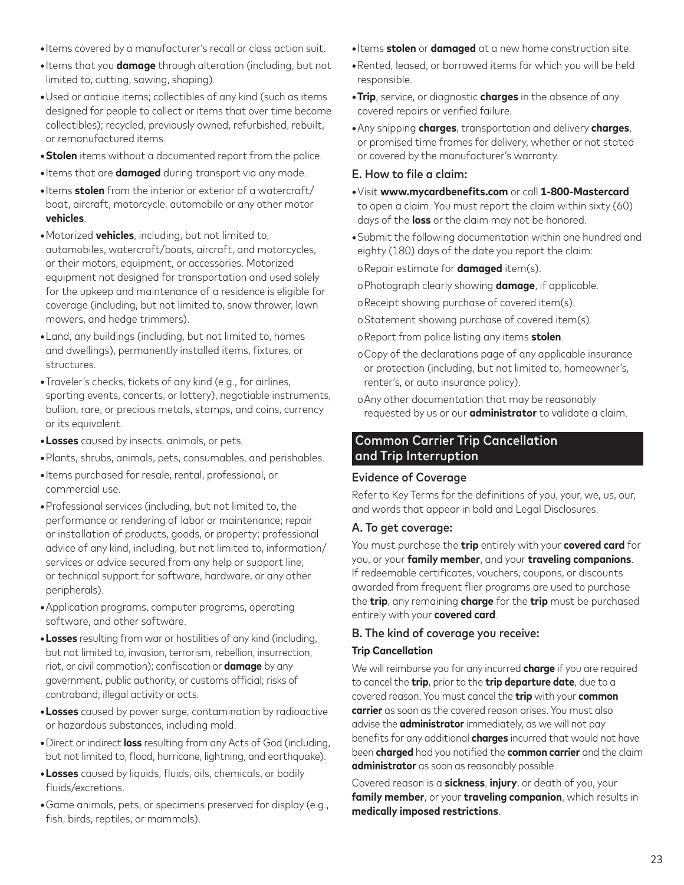- **•**Items covered by a manufacturer's recall or class action suit.
- **•**Items that you **damage** through alteration (including, but not limited to, cutting, sawing, shaping).
- **•**Used or antique items; collectibles of any kind (such as items designed for people to collect or items that over time become collectibles); recycled, previously owned, refurbished, rebuilt, or remanufactured items.
- **•Stolen** items without a documented report from the police.
- **•**Items that are **damaged** during transport via any mode.
- **•**Items **stolen** from the interior or exterior of a watercraft/ boat, aircraft, motorcycle, automobile or any other motor **vehicles**.
- **•**Motorized **vehicles**, including, but not limited to, automobiles, watercraft/boats, aircraft, and motorcycles, or their motors, equipment, or accessories. Motorized equipment not designed for transportation and used solely for the upkeep and maintenance of a residence is eligible for coverage (including, but not limited to, snow thrower, lawn mowers, and hedge trimmers).
- **•**Land, any buildings (including, but not limited to, homes and dwellings), permanently installed items, fixtures, or structures.
- **•**Traveler's checks, tickets of any kind (e.g., for airlines, sporting events, concerts, or lottery), negotiable instruments, bullion, rare, or precious metals, stamps, and coins, currency or its equivalent.
- **•Losses** caused by insects, animals, or pets.
- **•**Plants, shrubs, animals, pets, consumables, and perishables.
- **•**Items purchased for resale, rental, professional, or commercial use.
- **•**Professional services (including, but not limited to, the performance or rendering of labor or maintenance; repair or installation of products, goods, or property; professional advice of any kind, including, but not limited to, information/ services or advice secured from any help or support line; or technical support for software, hardware, or any other peripherals).
- **•**Application programs, computer programs, operating software, and other software.
- **•Losses** resulting from war or hostilities of any kind (including, but not limited to, invasion, terrorism, rebellion, insurrection, riot, or civil commotion); confiscation or **damage** by any government, public authority, or customs official; risks of contraband; illegal activity or acts.
- **•Losses** caused by power surge, contamination by radioactive or hazardous substances, including mold.
- **•**Direct or indirect **loss** resulting from any Acts of God (including, but not limited to, flood, hurricane, lightning, and earthquake).
- **•Losses** caused by liquids, fluids, oils, chemicals, or bodily fluids/excretions.
- **•**Game animals, pets, or specimens preserved for display (e.g., fish, birds, reptiles, or mammals).
- **•**Items **stolen** or **damaged** at a new home construction site.
- **•**Rented, leased, or borrowed items for which you will be held responsible.
- **•Trip**, service, or diagnostic **charges** in the absence of any covered repairs or verified failure.
- **•**Any shipping **charges**, transportation and delivery **charges**, or promised time frames for delivery, whether or not stated or covered by the manufacturer's warranty.

## E. How to file a claim:

- **•**Visit **www.mycardbenefits.com** or call **1-800-Mastercard** to open a claim. You must report the claim within sixty (60) days of the **loss** or the claim may not be honored.
- **•**Submit the following documentation within one hundred and eighty (180) days of the date you report the claim:

oRepair estimate for **damaged** item(s).

oPhotograph clearly showing **damage**, if applicable.

oReceipt showing purchase of covered item(s).

- oStatement showing purchase of covered item(s).
- oReport from police listing any items **stolen**.
- oCopy of the declarations page of any applicable insurance or protection (including, but not limited to, homeowner's, renter's, or auto insurance policy).
- oAny other documentation that may be reasonably requested by us or our **administrator** to validate a claim.

## Common Carrier Trip Cancellation and Trip Interruption

## Evidence of Coverage

Refer to Key Terms for the definitions of you, your, we, us, our, and words that appear in bold and Legal Disclosures.

## A. To get coverage:

You must purchase the **trip** entirely with your **covered card** for you, or your **family member**, and your **traveling companions**. If redeemable certificates, vouchers, coupons, or discounts awarded from frequent flier programs are used to purchase the **trip**, any remaining **charge** for the **trip** must be purchased entirely with your **covered card**.

# B. The kind of coverage you receive:

## **Trip Cancellation**

We will reimburse you for any incurred **charge** if you are required to cancel the **trip**, prior to the **trip departure date**, due to a covered reason. You must cancel the **trip** with your **common carrier** as soon as the covered reason arises. You must also advise the **administrator** immediately, as we will not pay benefits for any additional **charges** incurred that would not have been **charged** had you notified the **common carrier** and the claim **administrator** as soon as reasonably possible.

Covered reason is a **sickness**, **injury**, or death of you, your **family member**, or your **traveling companion**, which results in **medically imposed restrictions**.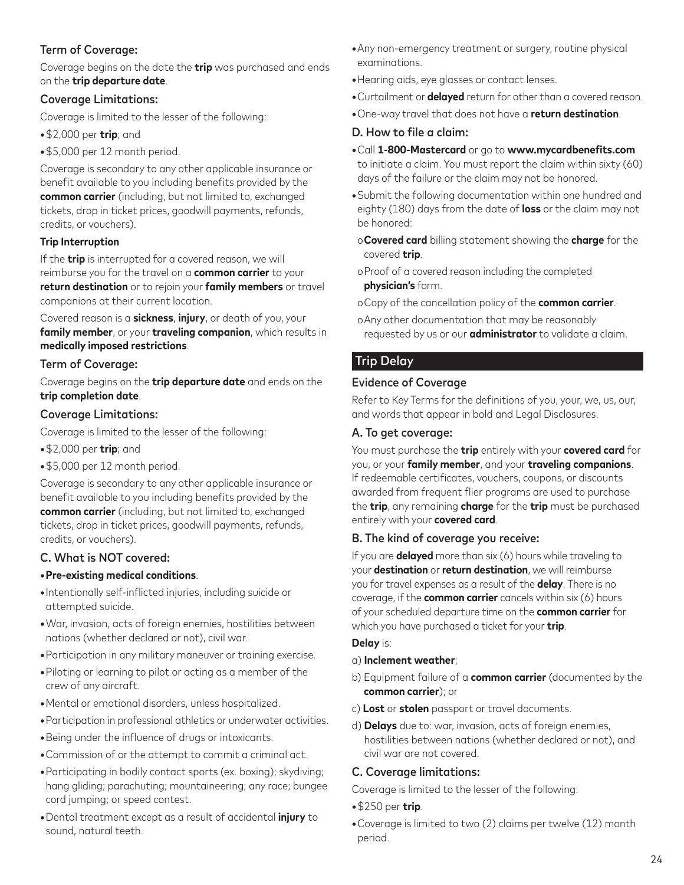## Term of Coverage:

Coverage begins on the date the **trip** was purchased and ends on the **trip departure date**.

### Coverage Limitations:

Coverage is limited to the lesser of the following:

**•**\$2,000 per **trip**; and

**•**\$5,000 per 12 month period.

Coverage is secondary to any other applicable insurance or benefit available to you including benefits provided by the **common carrier** (including, but not limited to, exchanged tickets, drop in ticket prices, goodwill payments, refunds, credits, or vouchers).

### **Trip Interruption**

If the **trip** is interrupted for a covered reason, we will reimburse you for the travel on a **common carrier** to your **return destination** or to rejoin your **family members** or travel companions at their current location.

Covered reason is a **sickness**, **injury**, or death of you, your **family member**, or your **traveling companion**, which results in **medically imposed restrictions**.

## Term of Coverage:

Coverage begins on the **trip departure date** and ends on the **trip completion date**.

### Coverage Limitations:

Coverage is limited to the lesser of the following:

- **•**\$2,000 per **trip**; and
- **•**\$5,000 per 12 month period.

Coverage is secondary to any other applicable insurance or benefit available to you including benefits provided by the **common carrier** (including, but not limited to, exchanged tickets, drop in ticket prices, goodwill payments, refunds, credits, or vouchers).

### C. What is NOT covered:

### **•Pre-existing medical conditions**.

- **•**Intentionally self-inflicted injuries, including suicide or attempted suicide.
- **•**War, invasion, acts of foreign enemies, hostilities between nations (whether declared or not), civil war.
- **•**Participation in any military maneuver or training exercise.
- **•**Piloting or learning to pilot or acting as a member of the crew of any aircraft.
- **•**Mental or emotional disorders, unless hospitalized.
- **•**Participation in professional athletics or underwater activities.
- **•**Being under the influence of drugs or intoxicants.
- **•**Commission of or the attempt to commit a criminal act.
- **•**Participating in bodily contact sports (ex. boxing); skydiving; hang gliding; parachuting; mountaineering; any race; bungee cord jumping; or speed contest.
- **•**Dental treatment except as a result of accidental **injury** to sound, natural teeth.
- **•**Any non-emergency treatment or surgery, routine physical examinations.
- **•**Hearing aids, eye glasses or contact lenses.
- **•**Curtailment or **delayed** return for other than a covered reason.
- **•**One-way travel that does not have a **return destination**.

#### D. How to file a claim:

- **•**Call **1-800-Mastercard** or go to **www.mycardbenefits.com** to initiate a claim. You must report the claim within sixty (60) days of the failure or the claim may not be honored.
- **•**Submit the following documentation within one hundred and eighty (180) days from the date of **loss** or the claim may not be honored:
- o**Covered card** billing statement showing the **charge** for the covered **trip**.
- oProof of a covered reason including the completed **physician's** form.
- oCopy of the cancellation policy of the **common carrier**.
- oAny other documentation that may be reasonably requested by us or our **administrator** to validate a claim.

## Trip Delay

#### Evidence of Coverage

Refer to Key Terms for the definitions of you, your, we, us, our, and words that appear in bold and Legal Disclosures.

#### A. To get coverage:

You must purchase the **trip** entirely with your **covered card** for you, or your **family member**, and your **traveling companions**. If redeemable certificates, vouchers, coupons, or discounts awarded from frequent flier programs are used to purchase the **trip**, any remaining **charge** for the **trip** must be purchased entirely with your **covered card**.

#### B. The kind of coverage you receive:

If you are **delayed** more than six (6) hours while traveling to your **destination** or **return destination**, we will reimburse you for travel expenses as a result of the **delay**. There is no coverage, if the **common carrier** cancels within six (6) hours of your scheduled departure time on the **common carrier** for which you have purchased a ticket for your **trip**.

#### **Delay** is:

- a) **Inclement weather**;
- b) Equipment failure of a **common carrier** (documented by the **common carrier**); or
- c) **Lost** or **stolen** passport or travel documents.
- d) **Delays** due to: war, invasion, acts of foreign enemies, hostilities between nations (whether declared or not), and civil war are not covered.

### C. Coverage limitations:

Coverage is limited to the lesser of the following:

- **•**\$250 per **trip**.
- **•**Coverage is limited to two (2) claims per twelve (12) month period.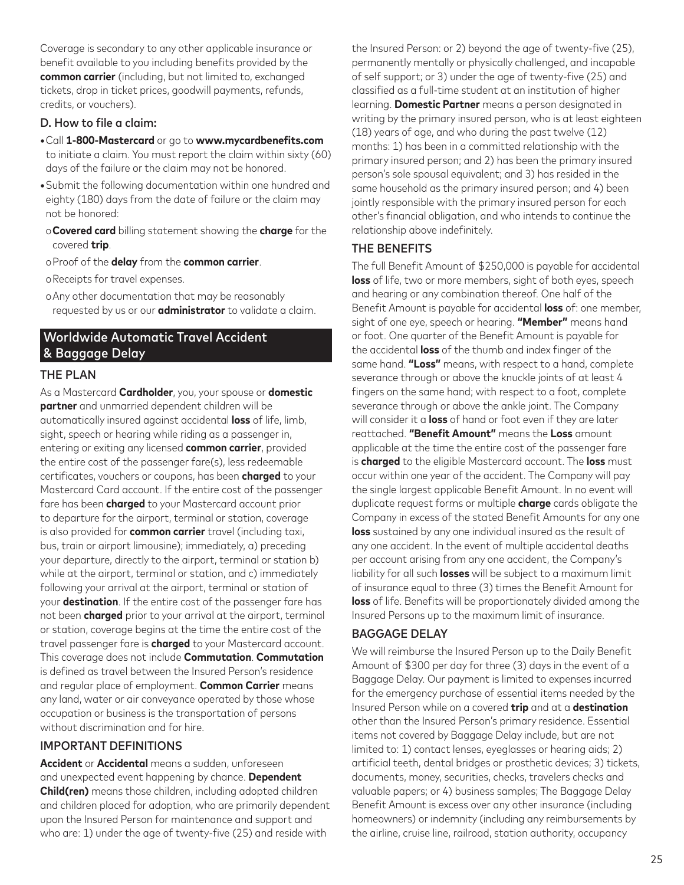Coverage is secondary to any other applicable insurance or benefit available to you including benefits provided by the **common carrier** (including, but not limited to, exchanged tickets, drop in ticket prices, goodwill payments, refunds, credits, or vouchers).

#### D. How to file a claim:

- **•**Call **1-800-Mastercard** or go to **www.mycardbenefits.com** to initiate a claim. You must report the claim within sixty (60) days of the failure or the claim may not be honored.
- **•**Submit the following documentation within one hundred and eighty (180) days from the date of failure or the claim may not be honored:
- o**Covered card** billing statement showing the **charge** for the covered **trip**.
- oProof of the **delay** from the **common carrier**.
- oReceipts for travel expenses.
- oAny other documentation that may be reasonably requested by us or our **administrator** to validate a claim.

## Worldwide Automatic Travel Accident & Baggage Delay

#### THE PLAN

As a Mastercard **Cardholder**, you, your spouse or **domestic partner** and unmarried dependent children will be automatically insured against accidental **loss** of life, limb, sight, speech or hearing while riding as a passenger in, entering or exiting any licensed **common carrier**, provided the entire cost of the passenger fare(s), less redeemable certificates, vouchers or coupons, has been **charged** to your Mastercard Card account. If the entire cost of the passenger fare has been **charged** to your Mastercard account prior to departure for the airport, terminal or station, coverage is also provided for **common carrier** travel (including taxi, bus, train or airport limousine); immediately, a) preceding your departure, directly to the airport, terminal or station b) while at the airport, terminal or station, and c) immediately following your arrival at the airport, terminal or station of your **destination**. If the entire cost of the passenger fare has not been **charged** prior to your arrival at the airport, terminal or station, coverage begins at the time the entire cost of the travel passenger fare is **charged** to your Mastercard account. This coverage does not include **Commutation**. **Commutation** is defined as travel between the Insured Person's residence and regular place of employment. **Common Carrier** means any land, water or air conveyance operated by those whose occupation or business is the transportation of persons without discrimination and for hire.

#### IMPORTANT DEFINITIONS

**Accident** or **Accidental** means a sudden, unforeseen and unexpected event happening by chance. **Dependent Child(ren)** means those children, including adopted children and children placed for adoption, who are primarily dependent upon the Insured Person for maintenance and support and who are: 1) under the age of twenty-five (25) and reside with

the Insured Person: or 2) beyond the age of twenty-five (25), permanently mentally or physically challenged, and incapable of self support; or 3) under the age of twenty-five (25) and classified as a full-time student at an institution of higher learning. **Domestic Partner** means a person designated in writing by the primary insured person, who is at least eighteen (18) years of age, and who during the past twelve (12) months: 1) has been in a committed relationship with the primary insured person; and 2) has been the primary insured person's sole spousal equivalent; and 3) has resided in the same household as the primary insured person; and 4) been jointly responsible with the primary insured person for each other's financial obligation, and who intends to continue the relationship above indefinitely.

#### THE BENEFITS

The full Benefit Amount of \$250,000 is payable for accidental **loss** of life, two or more members, sight of both eyes, speech and hearing or any combination thereof. One half of the Benefit Amount is payable for accidental **loss** of: one member, sight of one eye, speech or hearing. **"Member"** means hand or foot. One quarter of the Benefit Amount is payable for the accidental **loss** of the thumb and index finger of the same hand. **"Loss"** means, with respect to a hand, complete severance through or above the knuckle joints of at least 4 fingers on the same hand; with respect to a foot, complete severance through or above the ankle joint. The Company will consider it a **loss** of hand or foot even if they are later reattached. **"Benefit Amount"** means the **Loss** amount applicable at the time the entire cost of the passenger fare is **charged** to the eligible Mastercard account. The **loss** must occur within one year of the accident. The Company will pay the single largest applicable Benefit Amount. In no event will duplicate request forms or multiple **charge** cards obligate the Company in excess of the stated Benefit Amounts for any one **loss** sustained by any one individual insured as the result of any one accident. In the event of multiple accidental deaths per account arising from any one accident, the Company's liability for all such **losses** will be subject to a maximum limit of insurance equal to three (3) times the Benefit Amount for **loss** of life. Benefits will be proportionately divided among the Insured Persons up to the maximum limit of insurance.

#### BAGGAGE DELAY

We will reimburse the Insured Person up to the Daily Benefit Amount of \$300 per day for three (3) days in the event of a Baggage Delay. Our payment is limited to expenses incurred for the emergency purchase of essential items needed by the Insured Person while on a covered **trip** and at a **destination** other than the Insured Person's primary residence. Essential items not covered by Baggage Delay include, but are not limited to: 1) contact lenses, eyeglasses or hearing aids; 2) artificial teeth, dental bridges or prosthetic devices; 3) tickets, documents, money, securities, checks, travelers checks and valuable papers; or 4) business samples; The Baggage Delay Benefit Amount is excess over any other insurance (including homeowners) or indemnity (including any reimbursements by the airline, cruise line, railroad, station authority, occupancy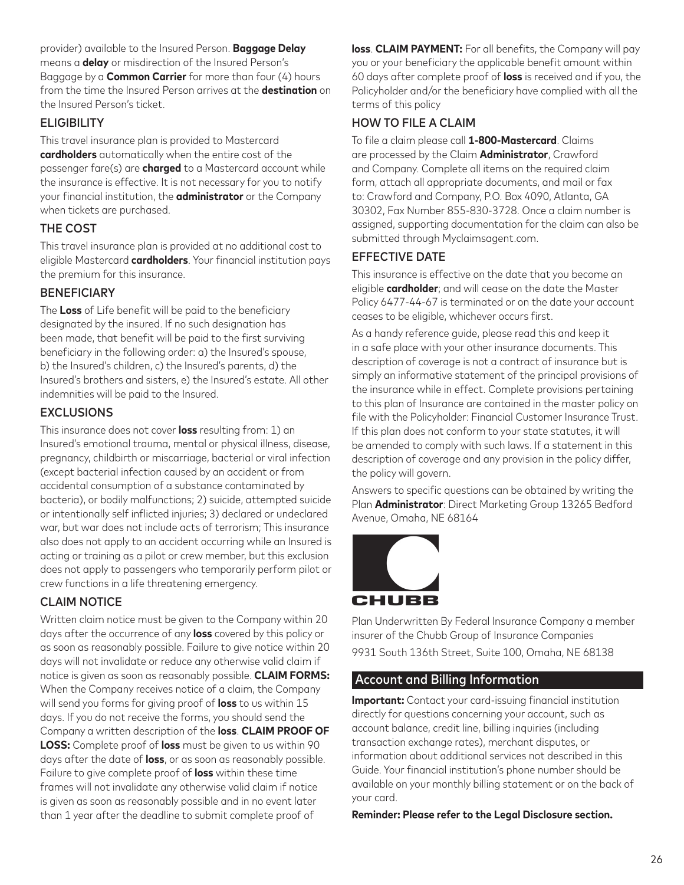provider) available to the Insured Person. **Baggage Delay** means a **delay** or misdirection of the Insured Person's Baggage by a **Common Carrier** for more than four (4) hours from the time the Insured Person arrives at the **destination** on the Insured Person's ticket.

## **ELIGIBILITY**

This travel insurance plan is provided to Mastercard **cardholders** automatically when the entire cost of the passenger fare(s) are **charged** to a Mastercard account while the insurance is effective. It is not necessary for you to notify your financial institution, the **administrator** or the Company when tickets are purchased.

## THE COST

This travel insurance plan is provided at no additional cost to eligible Mastercard **cardholders**. Your financial institution pays the premium for this insurance.

### **BENEFICIARY**

The **Loss** of Life benefit will be paid to the beneficiary designated by the insured. If no such designation has been made, that benefit will be paid to the first surviving beneficiary in the following order: a) the Insured's spouse, b) the Insured's children, c) the Insured's parents, d) the Insured's brothers and sisters, e) the Insured's estate. All other indemnities will be paid to the Insured.

### EXCLUSIONS

This insurance does not cover **loss** resulting from: 1) an Insured's emotional trauma, mental or physical illness, disease, pregnancy, childbirth or miscarriage, bacterial or viral infection (except bacterial infection caused by an accident or from accidental consumption of a substance contaminated by bacteria), or bodily malfunctions; 2) suicide, attempted suicide or intentionally self inflicted injuries; 3) declared or undeclared war, but war does not include acts of terrorism; This insurance also does not apply to an accident occurring while an Insured is acting or training as a pilot or crew member, but this exclusion does not apply to passengers who temporarily perform pilot or crew functions in a life threatening emergency.

## CLAIM NOTICE

Written claim notice must be given to the Company within 20 days after the occurrence of any **loss** covered by this policy or as soon as reasonably possible. Failure to give notice within 20 days will not invalidate or reduce any otherwise valid claim if notice is given as soon as reasonably possible. **CLAIM FORMS:** When the Company receives notice of a claim, the Company will send you forms for giving proof of **loss** to us within 15 days. If you do not receive the forms, you should send the Company a written description of the **loss**. **CLAIM PROOF OF LOSS:** Complete proof of **loss** must be given to us within 90 days after the date of **loss**, or as soon as reasonably possible. Failure to give complete proof of **loss** within these time frames will not invalidate any otherwise valid claim if notice is given as soon as reasonably possible and in no event later than 1 year after the deadline to submit complete proof of

**loss**. **CLAIM PAYMENT:** For all benefits, the Company will pay you or your beneficiary the applicable benefit amount within 60 days after complete proof of **loss** is received and if you, the Policyholder and/or the beneficiary have complied with all the terms of this policy

### HOW TO FILE A CLAIM

To file a claim please call **1-800-Mastercard**. Claims are processed by the Claim **Administrator**, Crawford and Company. Complete all items on the required claim form, attach all appropriate documents, and mail or fax to: Crawford and Company, P.O. Box 4090, Atlanta, GA 30302, Fax Number 855-830-3728. Once a claim number is assigned, supporting documentation for the claim can also be submitted through Myclaimsagent.com.

### EFFECTIVE DATE

This insurance is effective on the date that you become an eligible **cardholder**; and will cease on the date the Master Policy 6477-44-67 is terminated or on the date your account ceases to be eligible, whichever occurs first.

As a handy reference guide, please read this and keep it in a safe place with your other insurance documents. This description of coverage is not a contract of insurance but is simply an informative statement of the principal provisions of the insurance while in effect. Complete provisions pertaining to this plan of Insurance are contained in the master policy on file with the Policyholder: Financial Customer Insurance Trust. If this plan does not conform to your state statutes, it will be amended to comply with such laws. If a statement in this description of coverage and any provision in the policy differ, the policy will govern.

Answers to specific questions can be obtained by writing the Plan **Administrator**: Direct Marketing Group 13265 Bedford Avenue, Omaha, NE 68164



Plan Underwritten By Federal Insurance Company a member insurer of the Chubb Group of Insurance Companies 9931 South 136th Street, Suite 100, Omaha, NE 68138

## Account and Billing Information

**Important:** Contact your card-issuing financial institution directly for questions concerning your account, such as account balance, credit line, billing inquiries (including transaction exchange rates), merchant disputes, or information about additional services not described in this Guide. Your financial institution's phone number should be available on your monthly billing statement or on the back of your card.

**Reminder: Please refer to the Legal Disclosure section.**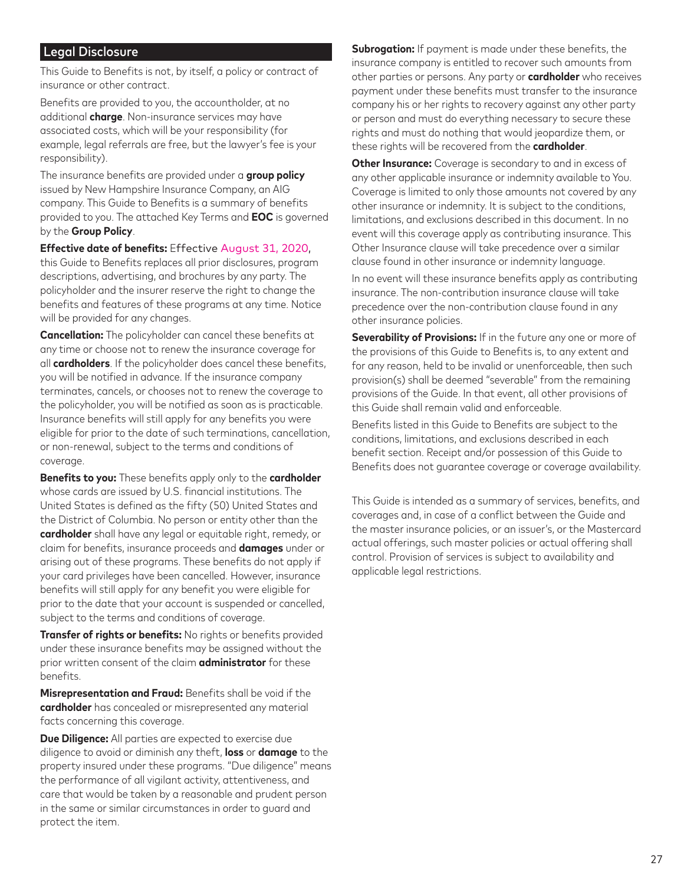### Legal Disclosure

This Guide to Benefits is not, by itself, a policy or contract of insurance or other contract.

Benefits are provided to you, the accountholder, at no additional **charge**. Non-insurance services may have associated costs, which will be your responsibility (for example, legal referrals are free, but the lawyer's fee is your responsibility).

The insurance benefits are provided under a **group policy** issued by New Hampshire Insurance Company, an AIG company. This Guide to Benefits is a summary of benefits provided to you. The attached Key Terms and **EOC** is governed by the **Group Policy**.

**Effective date of benefits:** Effective August 31, 2020,

this Guide to Benefits replaces all prior disclosures, program descriptions, advertising, and brochures by any party. The policyholder and the insurer reserve the right to change the benefits and features of these programs at any time. Notice will be provided for any changes.

**Cancellation:** The policyholder can cancel these benefits at any time or choose not to renew the insurance coverage for all **cardholders**. If the policyholder does cancel these benefits, you will be notified in advance. If the insurance company terminates, cancels, or chooses not to renew the coverage to the policyholder, you will be notified as soon as is practicable. Insurance benefits will still apply for any benefits you were eligible for prior to the date of such terminations, cancellation, or non-renewal, subject to the terms and conditions of coverage.

**Benefits to you:** These benefits apply only to the **cardholder** whose cards are issued by U.S. financial institutions. The United States is defined as the fifty (50) United States and the District of Columbia. No person or entity other than the **cardholder** shall have any legal or equitable right, remedy, or claim for benefits, insurance proceeds and **damages** under or arising out of these programs. These benefits do not apply if your card privileges have been cancelled. However, insurance benefits will still apply for any benefit you were eligible for prior to the date that your account is suspended or cancelled, subject to the terms and conditions of coverage.

**Transfer of rights or benefits:** No rights or benefits provided under these insurance benefits may be assigned without the prior written consent of the claim **administrator** for these benefits.

**Misrepresentation and Fraud:** Benefits shall be void if the **cardholder** has concealed or misrepresented any material facts concerning this coverage.

**Due Diligence:** All parties are expected to exercise due diligence to avoid or diminish any theft, **loss** or **damage** to the property insured under these programs. "Due diligence" means the performance of all vigilant activity, attentiveness, and care that would be taken by a reasonable and prudent person in the same or similar circumstances in order to guard and protect the item.

**Subrogation:** If payment is made under these benefits, the insurance company is entitled to recover such amounts from other parties or persons. Any party or **cardholder** who receives payment under these benefits must transfer to the insurance company his or her rights to recovery against any other party or person and must do everything necessary to secure these rights and must do nothing that would jeopardize them, or these rights will be recovered from the **cardholder**.

**Other Insurance:** Coverage is secondary to and in excess of any other applicable insurance or indemnity available to You. Coverage is limited to only those amounts not covered by any other insurance or indemnity. It is subject to the conditions, limitations, and exclusions described in this document. In no event will this coverage apply as contributing insurance. This Other Insurance clause will take precedence over a similar clause found in other insurance or indemnity language.

In no event will these insurance benefits apply as contributing insurance. The non-contribution insurance clause will take precedence over the non-contribution clause found in any other insurance policies.

**Severability of Provisions:** If in the future any one or more of the provisions of this Guide to Benefits is, to any extent and for any reason, held to be invalid or unenforceable, then such provision(s) shall be deemed "severable" from the remaining provisions of the Guide. In that event, all other provisions of this Guide shall remain valid and enforceable.

Benefits listed in this Guide to Benefits are subject to the conditions, limitations, and exclusions described in each benefit section. Receipt and/or possession of this Guide to Benefits does not guarantee coverage or coverage availability.

This Guide is intended as a summary of services, benefits, and coverages and, in case of a conflict between the Guide and the master insurance policies, or an issuer's, or the Mastercard actual offerings, such master policies or actual offering shall control. Provision of services is subject to availability and applicable legal restrictions.